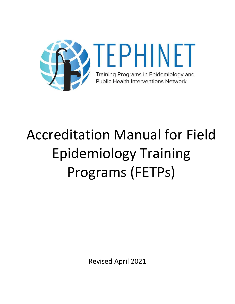

# Accreditation Manual for Field Epidemiology Training Programs (FETPs)

Revised April 2021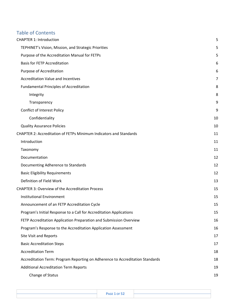## Table of Contents

| <b>CHAPTER 1: Introduction</b>                                                | 5  |
|-------------------------------------------------------------------------------|----|
| TEPHINET's Vision, Mission, and Strategic Priorities                          | 5  |
| Purpose of the Accreditation Manual for FETPs                                 | 5  |
| <b>Basis for FETP Accreditation</b>                                           | 6  |
| Purpose of Accreditation                                                      | 6  |
| <b>Accreditation Value and Incentives</b>                                     | 7  |
| <b>Fundamental Principles of Accreditation</b>                                | 8  |
| Integrity                                                                     | 8  |
| Transparency                                                                  | 9  |
| <b>Conflict of Interest Policy</b>                                            | 9  |
| Confidentiality                                                               | 10 |
| <b>Quality Assurance Policies</b>                                             | 10 |
| CHAPTER 2: Accreditation of FETPs Minimum Indicators and Standards            | 11 |
| Introduction                                                                  | 11 |
| Taxonomy                                                                      | 11 |
| Documentation                                                                 | 12 |
| Documenting Adherence to Standards                                            | 12 |
| <b>Basic Eligibility Requirements</b>                                         | 12 |
| Definition of Field Work                                                      | 13 |
| <b>CHAPTER 3: Overview of the Accreditation Process</b>                       | 15 |
| <b>Institutional Environment</b>                                              | 15 |
| Announcement of an FETP Accreditation Cycle                                   | 15 |
| Program's Initial Response to a Call for Accreditation Applications           | 15 |
| FETP Accreditation Application Preparation and Submission Overview            | 16 |
| Program's Response to the Accreditation Application Assessment                | 16 |
| <b>Site Visit and Reports</b>                                                 | 17 |
| <b>Basic Accreditation Steps</b>                                              | 17 |
| <b>Accreditation Term</b>                                                     | 18 |
| Accreditation Term: Program Reporting on Adherence to Accreditation Standards | 18 |
| <b>Additional Accreditation Term Reports</b>                                  | 19 |
| Change of Status                                                              | 19 |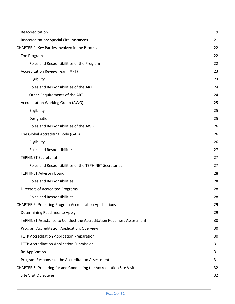| Reaccreditation                                                       | 19 |
|-----------------------------------------------------------------------|----|
| <b>Reaccreditation: Special Circumstances</b>                         | 21 |
| CHAPTER 4: Key Parties Involved in the Process                        | 22 |
| The Program                                                           | 22 |
| Roles and Responsibilities of the Program                             | 22 |
| <b>Accreditation Review Team (ART)</b>                                | 23 |
| Eligibility                                                           | 23 |
| Roles and Responsibilities of the ART                                 | 24 |
| Other Requirements of the ART                                         | 24 |
| Accreditation Working Group (AWG)                                     | 25 |
| Eligibility                                                           | 25 |
| Designation                                                           | 25 |
| Roles and Responsibilities of the AWG                                 | 26 |
| The Global Accrediting Body (GAB)                                     | 26 |
| Eligibility                                                           | 26 |
| Roles and Responsibilities                                            | 27 |
| <b>TEPHINET Secretariat</b>                                           | 27 |
| Roles and Responsibilities of the TEPHINET Secretariat                | 27 |
| <b>TEPHINET Advisory Board</b>                                        | 28 |
| Roles and Responsibilities                                            | 28 |
| Directors of Accredited Programs                                      | 28 |
| Roles and Responsibilities                                            | 28 |
| <b>CHAPTER 5: Preparing Program Accreditation Applications</b>        | 29 |
| Determining Readiness to Apply                                        | 29 |
| TEPHINET Assistance to Conduct the Accreditation Readiness Assessment | 30 |
| Program Accreditation Application: Overview                           | 30 |
| FETP Accreditation Application Preparation                            | 30 |
| FETP Accreditation Application Submission                             | 31 |
| Re-Application                                                        | 31 |
| Program Response to the Accreditation Assessment                      | 31 |
| CHAPTER 6: Preparing for and Conducting the Accreditation Site Visit  | 32 |
| Site Visit Objectives                                                 | 32 |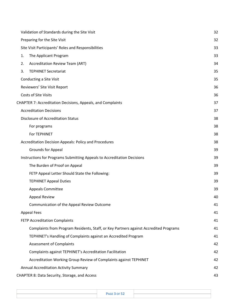| Validation of Standards during the Site Visit                                         | 32 |
|---------------------------------------------------------------------------------------|----|
| Preparing for the Site Visit                                                          | 32 |
| Site Visit Participants' Roles and Responsibilities                                   | 33 |
| The Applicant Program<br>1.                                                           | 33 |
| <b>Accreditation Review Team (ART)</b><br>2.                                          | 34 |
| <b>TEPHINET Secretariat</b><br>3.                                                     | 35 |
| Conducting a Site Visit                                                               | 35 |
| Reviewers' Site Visit Report                                                          | 36 |
| Costs of Site Visits                                                                  | 36 |
| CHAPTER 7: Accreditation Decisions, Appeals, and Complaints                           | 37 |
| <b>Accreditation Decisions</b>                                                        | 37 |
| <b>Disclosure of Accreditation Status</b>                                             | 38 |
| For programs                                                                          | 38 |
| For TEPHINET                                                                          | 38 |
| Accreditation Decision Appeals: Policy and Procedures                                 | 38 |
| Grounds for Appeal                                                                    | 39 |
| Instructions for Programs Submitting Appeals to Accreditation Decisions               | 39 |
| The Burden of Proof on Appeal                                                         | 39 |
| FETP Appeal Letter Should State the Following:                                        | 39 |
| <b>TEPHINET Appeal Duties</b>                                                         | 39 |
| <b>Appeals Committee</b>                                                              | 39 |
| <b>Appeal Review</b>                                                                  | 40 |
| Communication of the Appeal Review Outcome                                            | 41 |
| <b>Appeal Fees</b>                                                                    | 41 |
| FETP Accreditation Complaints                                                         | 41 |
| Complaints from Program Residents, Staff, or Key Partners against Accredited Programs | 41 |
| TEPHINET's Handling of Complaints against an Accredited Program                       | 41 |
| <b>Assessment of Complaints</b>                                                       | 42 |
| Complaints against TEPHINET's Accreditation Facilitation                              | 42 |
| Accreditation Working Group Review of Complaints against TEPHINET                     | 42 |
| Annual Accreditation Activity Summary                                                 | 42 |
| CHAPTER 8: Data Security, Storage, and Access                                         | 43 |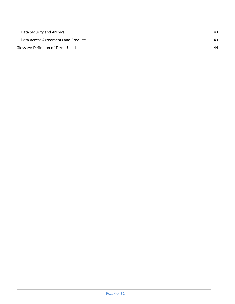| Data Security and Archival          | 43 |
|-------------------------------------|----|
| Data Access Agreements and Products | 43 |
| Glossary: Definition of Terms Used  | 44 |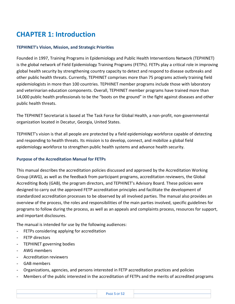# <span id="page-5-0"></span>**CHAPTER 1: Introduction**

#### <span id="page-5-1"></span>**TEPHINET's Vision, Mission, and Strategic Priorities**

Founded in 1997, Training Programs in Epidemiology and Public Health Interventions Network (TEPHINET) is the global network of Field Epidemiology Training Programs (FETPs). FETPs play a critical role in improving global health security by strengthening country capacity to detect and respond to disease outbreaks and other public health threats. Currently, TEPHINET comprises more than 75 programs actively training field epidemiologists in more than 100 countries. TEPHINET member programs include those with laboratory and veterinarian education components. Overall, TEPHINET member programs have trained more than 14,000 public health professionals to be the "boots on the ground" in the fight against diseases and other public health threats.

The TEPHINET Secretariat is based at The Task Force for Global Health, a non-profit, non-governmental organization located in Decatur, Georgia, United States.

TEPHINET's vision is that all people are protected by a field epidemiology workforce capable of detecting and responding to health threats. Its mission is to develop, connect, and mobilize a global field epidemiology workforce to strengthen public health systems and advance health security.

#### <span id="page-5-2"></span>**Purpose of the Accreditation Manual for FETPs**

This manual describes the accreditation policies discussed and approved by the Accreditation Working Group (AWG), as well as the feedback from participant programs, accreditation reviewers, the Global Accrediting Body (GAB), the program directors, and TEPHINET's Advisory Board. These policies were designed to carry out the approved FETP accreditation principles and facilitate the development of standardized accreditation processes to be observed by all involved parties. The manual also provides an overview of the process, the roles and responsibilities of the main parties involved, specific guidelines for programs to follow during the process, as well as an appeals and complaints process, resources for support, and important disclosures.

The manual is intended for use by the following audiences:

- FETPs considering applying for accreditation
- FETP directors
- TEPHINET governing bodies
- AWG members
- Accreditation reviewers
- GAB members
- Organizations, agencies, and persons interested in FETP accreditation practices and policies
- Members of the public interested in the accreditation of FETPs and the merits of accredited programs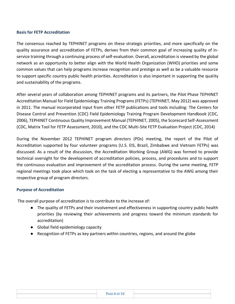#### <span id="page-6-0"></span>**Basis for FETP Accreditation**

The consensus reached by TEPHINET programs on these strategic priorities, and more specifically on the quality assurance and accreditation of FETPs, derives from their common goal of increasing quality of inservice training through a continuing process of self-evaluation. Overall, accreditation is viewed by the global network as an opportunity to better align with the World Health Organization (WHO) priorities and some common values that can help programs increase recognition and prestige as well as be a valuable resource to support specific country public health priorities. Accreditation is also important in supporting the quality and sustainability of the programs.

After several years of collaboration among TEPHINET programs and its partners, the Pilot Phase TEPHINET Accreditation Manual for Field Epidemiology Training Programs (FETPs) (TEPHINET, May 2012) was approved in 2011. The manual incorporated input from other FETP publications and tools including: The Centers for Disease Control and Prevention (CDC) Field Epidemiology Training Program Development Handbook (CDC, 2006), TEPHINET Continuous Quality Improvement Manual (TEPHINET, 2005), the Scorecard Self-Assessment (CDC, Matrix Tool for FETP Assessment, 2010), and the CDC Multi-Site FETP Evaluation Project (CDC, 2014)

During the November 2012 TEPHINET program directors (PDs) meeting, the report of the Pilot of Accreditation supported by four volunteer programs (U.S. EIS, Brazil, Zimbabwe and Vietnam FETPs) was discussed. As a result of the discussion, the Accreditation Working Group (AWG) was formed to provide technical oversight for the development of accreditation policies, process, and procedures and to support the continuous evaluation and improvement of the accreditation process. During the same meeting, FETP regional meetings took place which took on the task of electing a representative to the AWG among their respective group of program directors.

#### <span id="page-6-1"></span>**Purpose of Accreditation**

The overall purpose of accreditation is to contribute to the increase of:

- The quality of FETPs and their involvement and effectiveness in supporting country public health priorities (by reviewing their achievements and progress toward the minimum standards for accreditation)
- Global field epidemiology capacity
- Recognition of FETPs as key partners within countries, regions, and around the globe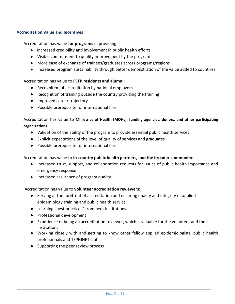#### <span id="page-7-0"></span>**Accreditation Value and Incentives**

Accreditation has value **for programs** in providing:

- **●** Increased credibility and involvement in public health efforts
- **●** Visible commitment to quality improvement by the program
- **●** More ease of exchange of trainees/graduates across programs/regions
- **●** Increased program sustainability through better demonstration of the value added to countries

#### Accreditation has value to **FETP residents and alumni:**

- Recognition of accreditation by national employers
- Recognition of training outside the country providing the training
- Improved career trajectory
- Possible prerequisite for international hire

#### Accreditation has value to **Ministries of Health (MOHs), funding agencies, donors, and other participating organizations**:

- Validation of the ability of the program to provide essential public health services
- Explicit expectations of the level of quality of services and graduates
- Possible prerequisite for international hire

#### Accreditation has value to **in-country public health partners, and the broader community:**

- **●** Increased trust, support, and collaboration requests for issues of public health importance and emergency response
- **●** Increased assurance of program quality

Accreditation has value to **volunteer accreditation reviewers:**

- Serving at the forefront of accreditation and ensuring quality and integrity of applied epidemiology training and public health service
- Learning "best practices" from peer institutions
- Professional development
- Experience of being an accreditation reviewer, which is valuable for the volunteer and their institutions
- Working closely with and getting to know other fellow applied epidemiologists, public health professionals and TEPHINET staff
- Supporting the peer review process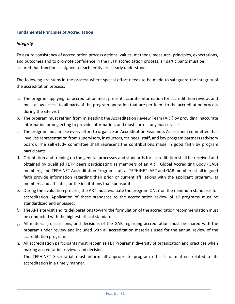#### <span id="page-8-0"></span>**Fundamental Principles of Accreditation**

#### <span id="page-8-1"></span>*Integrity*

To assure consistency of accreditation process actions, values, methods, measures, principles, expectations, and outcomes and to promote confidence in the FETP accreditation process, all participants must be assured that functions assigned to each entity are clearly understood.

The following are steps in the process where special effort needs to be made to safeguard the integrity of the accreditation process:

- a. The program applying for accreditation must present accurate information for accreditation review, and must allow access to all parts of the program operation that are pertinent to the accreditation process during the site visit.
- b. The program must refrain from misleading the Accreditation Review Team (ART) by providing inaccurate information or neglecting to provide information, and must correct any inaccuracies.
- c. The program must make every effort to organize an Accreditation Readiness Assessment committee that involves representation from supervisors, instructors, trainees, staff, and key program partners (advisory board). The self-study committee shall represent the contributions made in good faith by program participants.
- d. Orientation and training on the general processes and standards for accreditation shall be received and obtained by qualified FETP peers participating as members of an ART, Global Accrediting Body (GAB) members, and TEPHINET Accreditation Program staff at TEPHINET. ART and GAB members shall in good faith provide information regarding their prior or current affiliations with the applicant program, its members and affiliates, or the institutions that sponsor it.
- e. During the evaluation process, the ART must evaluate the program ONLY on the minimum standards for accreditation. Application of these standards to the accreditation review of all programs must be standardized and unbiased.
- f. The ART site visit and its deliberations toward the formulation of the accreditation recommendation must be conducted with the highest ethical standards.
- g. All materials, discussions, and decisions of the GAB regarding accreditation must be shared with the program under review and included with all accreditation materials used for the annual review of the accreditation program.
- h. All accreditation participants must recognize FET Programs' diversity of organization and practices when making accreditation reviews and decisions.
- i. The TEPHINET Secretariat must inform all appropriate program officials of matters related to its accreditation in a timely manner.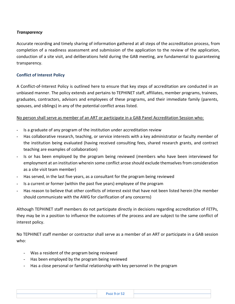#### <span id="page-9-0"></span>*Transparency*

Accurate recording and timely sharing of information gathered at all steps of the accreditation process, from completion of a readiness assessment and submission of the application to the review of the application, conduction of a site visit, and deliberations held during the GAB meeting, are fundamental to guaranteeing transparency.

#### <span id="page-9-1"></span>**Conflict of Interest Policy**

A Conflict-of-Interest Policy is outlined here to ensure that key steps of accreditation are conducted in an unbiased manner. The policy extends and pertains to TEPHINET staff, affiliates, member programs, trainees, graduates, contractors, advisors and employees of these programs, and their immediate family (parents, spouses, and siblings) in any of the potential conflict areas listed.

#### No person shall serve as member of an ART or participate in a GAB Panel Accreditation Session who:

- **-** Is a graduate of any program of the institution under accreditation review
- **-** Has collaborative research, teaching, or service interests with a key administrator or faculty member of the institution being evaluated (having received consulting fees, shared research grants, and contract teaching are examples of collaboration)
- **-** Is or has been employed by the program being reviewed (members who have been interviewed for employment at an institution wherein some conflict arose should exclude themselves from consideration as a site visit team member)
- **-** Has served, in the last five years, as a consultant for the program being reviewed
- **-** Is a current or former (within the past five years) employee of the program
- **-** Has reason to believe that other conflicts of interest exist that have not been listed herein (the member should communicate with the AWG for clarification of any concerns)

Although TEPHINET staff members do not participate directly in decisions regarding accreditation of FETPs, they may be in a position to influence the outcomes of the process and are subject to the same conflict of interest policy.

No TEPHINET staff member or contractor shall serve as a member of an ART or participate in a GAB session who:

- Was a resident of the program being reviewed
- Has been employed by the program being reviewed
- Has a close personal or familial relationship with key personnel in the program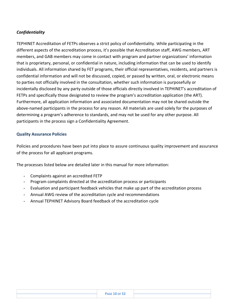#### <span id="page-10-0"></span>*Confidentiality*

TEPHINET Accreditation of FETPs observes a strict policy of confidentiality. While participating in the different aspects of the accreditation process, it's possible that Accreditation staff, AWG members, ART members, and GAB members may come in contact with program and partner organizations' information that is proprietary, personal, or confidential in nature, including information that can be used to identify individuals. All information shared by FET programs, their official representatives, residents, and partners is confidential information and will not be discussed, copied, or passed by written, oral, or electronic means to parties not officially involved in the consultation, whether such information is purposefully or incidentally disclosed by any party outside of those officials directly involved in TEPHINET's accreditation of FETPs and specifically those designated to review the program's accreditation application (the ART). Furthermore, all application information and associated documentation may not be shared outside the above-named participants in the process for any reason. All materials are used solely for the purposes of determining a program's adherence to standards, and may not be used for any other purpose. All participants in the process sign a Confidentiality Agreement.

#### <span id="page-10-1"></span>**Quality Assurance Policies**

Policies and procedures have been put into place to assure continuous quality improvement and assurance of the process for all applicant programs.

The processes listed below are detailed later in this manual for more information:

- Complaints against an accredited FETP
- Program complaints directed at the accreditation process or participants
- Evaluation and participant feedback vehicles that make up part of the accreditation process
- Annual AWG review of the accreditation cycle and recommendations
- Annual TEPHINET Advisory Board feedback of the accreditation cycle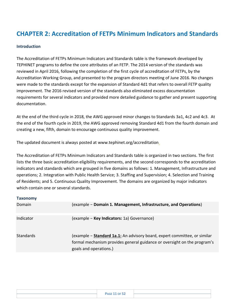## <span id="page-11-0"></span>**CHAPTER 2: Accreditation of FETPs Minimum Indicators and Standards**

#### <span id="page-11-1"></span>**Introduction**

The Accreditation of FETPs Minimum Indicators and Standards table is the framework developed by TEPHINET programs to define the core attributes of an FETP. The 2014 version of the standards was reviewed in April 2016, following the completion of the first cycle of accreditation of FETPs, by the Accreditation Working Group, and presented to the program directors meeting of June 2016. No changes were made to the standards except for the expansion of Standard 4d1 that refers to overall FETP quality improvement. The 2016 revised version of the standards also eliminated excess documentation requirements for several indicators and provided more detailed guidance to gather and present supporting documentation.

At the end of the third cycle in 2018, the AWG approved minor changes to Standards 3a1, 4c2 and 4c3. At the end of the fourth cycle in 2019, the AWG approved removing Standard 4d1 from the fourth domain and creating a new, fifth, domain to encourage continuous quality improvement.

The updated document is always posted at [www.tephinet.org/accreditation.](http://www.tephinet.org/accreditation.)

The Accreditation of FETPs Minimum Indicators and Standards table is organized in two sections. The first lists the three basic accreditation eligibility requirements, and the second corresponds to the accreditation indicators and standards which are grouped in five domains as follows: 1. Management, Infrastructure and operations; 2. Integration with Public Health Service; 3. Staffing and Supervision; 4. Selection and Training of Residents; and 5. Continuous Quality Improvement. The domains are organized by major indicators which contain one or several standards.

<span id="page-11-2"></span>

| <b>Taxonomy</b>  |                                                                           |
|------------------|---------------------------------------------------------------------------|
| Domain           | (example – Domain 1. Management, Infrastructure, and Operations)          |
|                  |                                                                           |
| Indicator        | (example – <b>Key Indicators:</b> 1a) Governance)                         |
| <b>Standards</b> | (example – Standard 1a.1: An advisory board, expert committee, or similar |
|                  | formal mechanism provides general guidance or oversight on the program's  |
|                  |                                                                           |
|                  | goals and operations.)                                                    |
|                  |                                                                           |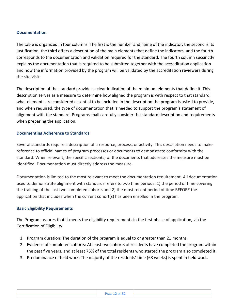#### <span id="page-12-0"></span>**Documentation**

The table is organized in four columns. The first is the number and name of the indicator, the second is its justification, the third offers a description of the main elements that define the indicators, and the fourth corresponds to the documentation and validation required for the standard. The fourth column succinctly explains the documentation that is required to be submitted together with the accreditation application and how the information provided by the program will be validated by the accreditation reviewers during the site visit.

The description of the standard provides a clear indication of the minimum elements that define it. This description serves as a measure to determine how aligned the program is with respect to that standard, what elements are considered essential to be included in the description the program is asked to provide, and when required, the type of documentation that is needed to support the program's statement of alignment with the standard. Programs shall carefully consider the standard description and requirements when preparing the application.

#### <span id="page-12-1"></span>**Documenting Adherence to Standards**

Several standards require a description of a resource, process, or activity. This description needs to make reference to official names of program processes or documents to demonstrate conformity with the standard. When relevant, the specific section(s) of the documents that addresses the measure must be identified. Documentation must directly address the measure.

Documentation is limited to the most relevant to meet the documentation requirement. All documentation used to demonstrate alignment with standards refers to two time periods: 1) the period of time covering the training of the last two completed cohorts and 2) the most recent period of time BEFORE the application that includes when the current cohort(s) has been enrolled in the program.

#### <span id="page-12-2"></span>**Basic Eligibility Requirements**

The Program assures that it meets the eligibility requirements in the first phase of application, via the Certification of Eligibility.

- 1. Program duration: The duration of the program is equal to or greater than 21 months.
- 2. Evidence of completed cohorts: At least two cohorts of residents have completed the program within the past five years, and at least 75% of the total residents who started the program also completed it.
- 3. Predominance of field work: The majority of the residents' time (68 weeks) is spent in field work.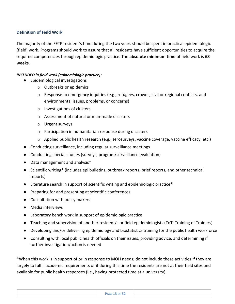#### <span id="page-13-0"></span>**Definition of Field Work**

The majority of the FETP resident's time during the two years should be spent in practical epidemiologic (field) work. Programs should work to assure that all residents have sufficient opportunities to acquire the required competencies through epidemiologic practice. The **absolute minimum time** of field work is **68 weeks**.

#### *INCLUDED in field work (epidemiologic practice):*

- Epidemiological investigations
	- o Outbreaks or epidemics
	- o Response to emergency inquiries (e.g., refugees, crowds, civil or regional conflicts, and environmental issues, problems, or concerns)
	- o Investigations of clusters
	- o Assessment of natural or man-made disasters
	- o Urgent surveys
	- o Participation in humanitarian response during disasters
	- o Applied public health research (e.g., serosurveys, vaccine coverage, vaccine efficacy, etc.)
- Conducting surveillance, including regular surveillance meetings
- Conducting special studies (surveys, program/surveillance evaluation)
- Data management and analysis\*
- Scientific writing<sup>\*</sup> (includes epi bulletins, outbreak reports, brief reports, and other technical reports)
- Literature search in support of scientific writing and epidemiologic practice\*
- Preparing for and presenting at scientific conferences
- Consultation with policy makers
- Media interviews
- Laboratory bench work in support of epidemiologic practice
- Teaching and supervision of another resident/s or field epidemiologists (ToT: Training of Trainers)
- Developing and/or delivering epidemiology and biostatistics training for the public health workforce
- Consulting with local public health officials on their issues, providing advice, and determining if further investigation/action is needed

\*When this work is in support of or in response to MOH needs; do not include these activities if they are largely to fulfill academic requirements or if during this time the residents are not at their field sites and available for public health responses (i.e., having protected time at a university).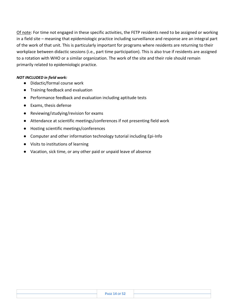Of note: For time not engaged in these specific activities, the FETP residents need to be assigned or working in a field site – meaning that epidemiologic practice including surveillance and response are an integral part of the work of that unit. This is particularly important for programs where residents are returning to their workplace between didactic sessions (i.e., part time participation). This is also true if residents are assigned to a rotation with WHO or a similar organization. The work of the site and their role should remain primarily related to epidemiologic practice.

#### *NOT INCLUDED in field work:*

- Didactic/formal course work
- Training feedback and evaluation
- Performance feedback and evaluation including aptitude tests
- Exams, thesis defense
- Reviewing/studying/revision for exams
- Attendance at scientific meetings/conferences if not presenting field work
- Hosting scientific meetings/conferences
- Computer and other information technology tutorial including Epi-Info
- Visits to institutions of learning
- Vacation, sick time, or any other paid or unpaid leave of absence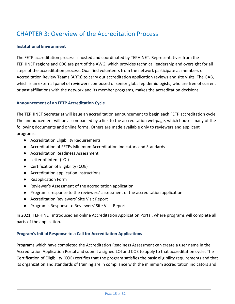## <span id="page-15-0"></span>CHAPTER 3: Overview of the Accreditation Process

#### <span id="page-15-1"></span>**Institutional Environment**

The FETP accreditation process is hosted and coordinated by TEPHINET. Representatives from the TEPHINET regions and CDC are part of the AWG, which provides technical leadership and oversight for all steps of the accreditation process. Qualified volunteers from the network participate as members of Accreditation Review Teams (ARTs) to carry out accreditation application reviews and site visits. The GAB, which is an external panel of reviewers composed of senior global epidemiologists, who are free of current or past affiliations with the network and its member programs, makes the accreditation decisions.

#### <span id="page-15-2"></span>**Announcement of an FETP Accreditation Cycle**

The TEPHINET Secretariat will issue an accreditation announcement to begin each FETP accreditation cycle. The announcement will be accompanied by a link to the accreditation webpage, which houses many of the following documents and online forms. Others are made available only to reviewers and applicant programs.

- Accreditation Eligibility Requirements
- Accreditation of FETPs Minimum Accreditation Indicators and Standards
- Accreditation Readiness Assessment
- Letter of Intent (LOI)
- Certification of Eligibility (COE)
- Accreditation application Instructions
- Reapplication Form
- Reviewer's Assessment of the accreditation application
- Program's response to the reviewers' assessment of the accreditation application
- Accreditation Reviewers' Site Visit Report
- Program's Response to Reviewers' Site Visit Report

In 2021, TEPHINET introduced an online Accreditation Application Portal, where programs will complete all parts of the application.

#### <span id="page-15-3"></span>**Program's Initial Response to a Call for Accreditation Applications**

Programs which have completed the Accreditation Readiness Assessment can create a user name in the Accreditation Application Portal and submit a signed LOI and COE to apply to that accreditation cycle. The Certification of Eligibility (COE) certifies that the program satisfies the basic eligibility requirements and that its organization and standards of training are in compliance with the minimum accreditation indicators and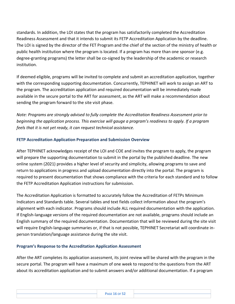standards. In addition, the LOI states that the program has satisfactorily completed the Accreditation Readiness Assessment and that it intends to submit its FETP Accreditation Application by the deadline. The LOI is signed by the director of the FET Program and the chief of the section of the ministry of health or public health institution where the program is located. If a program has more than one sponsor (e.g. degree-granting programs) the letter shall be co-signed by the leadership of the academic or research institution.

If deemed eligible, programs will be invited to complete and submit an accreditation application, together with the corresponding supporting documentation. Concurrently, TEPHINET will work to assign an ART to the program. The accreditation application and required documentation will be immediately made available in the secure portal to the ART for assessment, as the ART will make a recommendation about sending the program forward to the site visit phase.

*Note: Programs are strongly advised to fully complete the Accreditation Readiness Assessment prior to beginning the application process. This exercise will gauge a program's readiness to apply. If a program feels that it is not yet ready, it can request technical assistance.* 

#### <span id="page-16-0"></span>**FETP Accreditation Application Preparation and Submission Overview**

After TEPHINET acknowledges receipt of the LOI and COE and invites the program to apply, the program will prepare the supporting documentation to submit in the portal by the published deadline. The new online system (2021) provides a higher level of security and simplicity, allowing programs to save and return to applications in progress and upload documentation directly into the portal. The program is required to present documentation that shows compliance with the criteria for each standard and to follow the FETP Accreditation Application instructions for submission.

The Accreditation Application is formatted to accurately follow the Accreditation of FETPs Minimum Indicators and Standards table. Several tables and text fields collect information about the program's alignment with each indicator. Programs should include ALL required documentation with the application. If English-language versions of the required documentation are not available, programs should include an English summary of the required documentation. Documentation that will be reviewed during the site visit will require English-language summaries or, if that is not possible, TEPHINET Secretariat will coordinate inperson translation/language assistance during the site visit.

#### <span id="page-16-1"></span>**Program's Response to the Accreditation Application Assessment**

After the ART completes its application assessment, its joint review will be shared with the program in the secure portal. The program will have a maximum of one week to respond to the questions from the ART about its accreditation application and to submit answers and/or additional documentation. If a program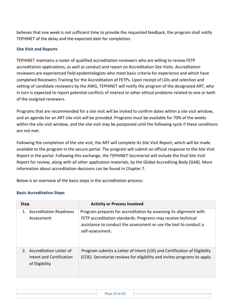believes that one week is not sufficient time to provide the requested feedback, the program shall notify TEPHINET of the delay and the expected date for completion.

#### <span id="page-17-0"></span>**Site Visit and Reports**

TEPHINET maintains a roster of qualified accreditation reviewers who are willing to review FETP accreditation applications, as well as conduct and report on Accreditation Site Visits. Accreditation reviewers are experienced field epidemiologists who meet basic criteria for experience and which have completed Reviewers Training for the Accreditation of FETPs. Upon receipt of LOIs and selection and vetting of candidate reviewers by the AWG, TEPHINET will notify the program of the designated ART, who in turn is expected to report potential conflicts of interest or other ethical problems related to one or both of the assigned reviewers.

Programs that are recommended for a site visit will be invited to confirm dates within a site visit window, and an agenda for an ART site visit will be provided. Programs must be available for 70% of the weeks within the site visit window, and the site visit may be postponed until the following cycle if these conditions are not met.

Following the completion of the site visit, the ART will complete its Site Visit Report, which will be made available to the program in the secure portal. The program will submit an official response to the Site Visit Report in the portal. Following this exchange, the TEPHINET Secretariat will include the final Site Visit Report for review, along with all other application materials, by the Global Accrediting Body (GAB). More information about accreditation decisions can be found in Chapter 7.

Below is an overview of the basic steps in the accreditation process:

#### <span id="page-17-1"></span>**Basic Accreditation Steps**

| <b>Step</b>                                                              | <b>Activity or Process Involved</b>                                                                                                                                                                                         |
|--------------------------------------------------------------------------|-----------------------------------------------------------------------------------------------------------------------------------------------------------------------------------------------------------------------------|
| <b>Accreditation Readiness</b><br>1.<br>Assessment                       | Program prepares for accreditation by assessing its alignment with<br>FETP accreditation standards. Programs may receive technical<br>assistance to conduct the assessment or use the tool to conduct a<br>self-assessment. |
| 2. Accreditation Letter of<br>Intent and Certification<br>of Eligibility | Program submits a Letter of Intent (LOI) and Certification of Eligibility<br>(COE). Secretariat reviews for eligibility and invites programs to apply.                                                                      |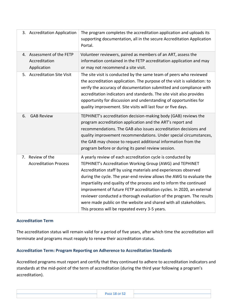|    | 3. Accreditation Application                              | The program completes the accreditation application and uploads its<br>supporting documentation, all in the secure Accreditation Application<br>Portal.                                                                                                                                                                                                                                                                                                                                                                                                                                                            |
|----|-----------------------------------------------------------|--------------------------------------------------------------------------------------------------------------------------------------------------------------------------------------------------------------------------------------------------------------------------------------------------------------------------------------------------------------------------------------------------------------------------------------------------------------------------------------------------------------------------------------------------------------------------------------------------------------------|
|    | 4. Assessment of the FETP<br>Accreditation<br>Application | Volunteer reviewers, paired as members of an ART, assess the<br>information contained in the FETP accreditation application and may<br>or may not recommend a site visit.                                                                                                                                                                                                                                                                                                                                                                                                                                          |
|    | 5. Accreditation Site Visit                               | The site visit is conducted by the same team of peers who reviewed<br>the accreditation application. The purpose of the visit is validation: to<br>verify the accuracy of documentation submitted and compliance with<br>accreditation indicators and standards. The site visit also provides<br>opportunity for discussion and understanding of opportunities for<br>quality improvement. Site visits will last four or five days.                                                                                                                                                                                |
| 6. | <b>GAB Review</b>                                         | TEPHINET's accreditation decision-making body (GAB) reviews the<br>program accreditation application and the ART's report and<br>recommendations. The GAB also issues accreditation decisions and<br>quality improvement recommendations. Under special circumstances,<br>the GAB may choose to request additional information from the<br>program before or during its panel review session.                                                                                                                                                                                                                      |
|    | 7. Review of the<br><b>Accreditation Process</b>          | A yearly review of each accreditation cycle is conducted by<br>TEPHINET's Accreditation Working Group (AWG) and TEPHINET<br>Accreditation staff by using materials and experiences observed<br>during the cycle. The year-end review allows the AWG to evaluate the<br>impartiality and quality of the process and to inform the continued<br>improvement of future FETP accreditation cycles. In 2020, an external<br>reviewer conducted a thorough evaluation of the program. The results<br>were made public on the website and shared with all stakeholders.<br>This process will be repeated every 3-5 years. |

#### <span id="page-18-0"></span>**Accreditation Term**

The accreditation status will remain valid for a period of five years, after which time the accreditation will terminate and programs must reapply to renew their accreditation status.

#### <span id="page-18-1"></span>**Accreditation Term: Program Reporting on Adherence to Accreditation Standards**

Accredited programs must report and certify that they continued to adhere to accreditation indicators and standards at the mid-point of the term of accreditation (during the third year following a program's accreditation).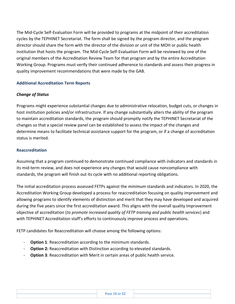The Mid-Cycle Self-Evaluation Form will be provided to programs at the midpoint of their accreditation cycles by the TEPHINET Secretariat. The form shall be signed by the program director, and the program director should share the form with the director of the division or unit of the MOH or public health institution that hosts the program. The Mid-Cycle Self-Evaluation Form will be reviewed by one of the original members of the Accreditation Review Team for that program and by the entire Accreditation Working Group. Programs must verify their continued adherence to standards and assess their progress in quality improvement recommendations that were made by the GAB.

#### <span id="page-19-0"></span>**Additional Accreditation Term Reports**

#### <span id="page-19-1"></span>*Change of Status*

Programs might experience substantial changes due to administrative relocation, budget cuts, or changes in host institution policies and/or infrastructure. If any change substantially alters the ability of the program to maintain accreditation standards, the program should promptly notify the TEPHINET Secretariat of the changes so that a special review panel can be established to assess the impact of the changes and determine means to facilitate technical assistance support for the program, or if a change of accreditation status is merited.

#### <span id="page-19-2"></span>**Reaccreditation**

Assuming that a program continued to demonstrate continued compliance with indicators and standards in its mid-term review, and does not experience any changes that would cause noncompliance with standards, the program will finish out its cycle with no additional reporting obligations.

The initial accreditation process assessed FETPs against the *minimum* standards and indicators. In 2020, the Accreditation Working Group developed a process for reaccreditation focusing on quality improvement and allowing programs to identify elements of distinction and merit that they may have developed and acquired during the five years since the first accreditation award. This aligns with the overall quality Improvement objective of accreditation (*to promote increased quality of FETP training and public health services*) and with TEPHINET Accreditation staff's efforts to continuously improve process and operations.

FETP candidates for Reaccreditation will choose among the following options:

- **Option 1**: Reaccreditation according to the minimum standards.
- **Option 2:** Reaccreditation with Distinction according to elevated standards.
- **Option 3**: Reaccreditation with Merit in certain areas of public health service.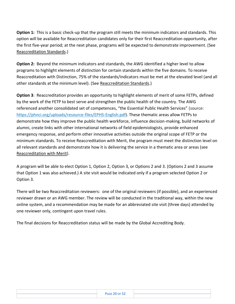**Option 1:** This is a basic check-up that the program still meets the minimum indicators and standards. This option will be available for Reaccreditation candidates only for their first Reaccreditation opportunity, after the first five-year period; at the next phase, programs will be expected to demonstrate improvement. (See Reaccreditation Standards.)

**Option 2:** Beyond the minimum indicators and standards, the AWG identified a higher level to allow programs to highlight elements of distinction for certain standards within the five domains. To receive Reaccreditation with Distinction, 75% of the standards/indicators must be met at the elevated level (and all other standards at the minimum level). (See Reaccreditation Standards.)

**Option 3**: Reaccreditation provides an opportunity to highlight elements of merit of some FETPs, defined by the work of the FETP to best serve and strengthen the public health of the country. The AWG referenced another consolidated set of competences, "the Essential Public Health Services" (source: <https://phnci.org/uploads/resource-files/EPHS-English.pdf>). These thematic areas allow FETPs to demonstrate how they improve the public health workforce, influence decision-making, build networks of alumni, create links with other international networks of field epidemiologists, provide enhanced emergency response, and perform other innovative activities outside the original scope of FETP or the minimum standards. To receive Reaccreditation with Merit, the program must meet the distinction level on all relevant standards and demonstrate how it is delivering the service in a thematic area or areas (see Reaccreditation with Merit).

A program will be able to elect Option 1, Option 2, Option 3, or Options 2 and 3. (Options 2 and 3 assume that Option 1 was also achieved.) A site visit would be indicated only if a program selected Option 2 or Option 3.

There will be two Reaccreditation reviewers: one of the original reviewers (if possible), and an experienced reviewer drawn or an AWG member. The review will be conducted in the traditional way, within the new online system, and a recommendation may be made for an abbreviated site visit (three days) attended by one reviewer only, contingent upon travel rules.

The final decisions for Reaccreditation status will be made by the Global Accrediting Body.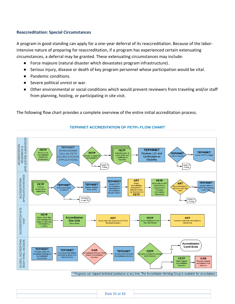#### <span id="page-21-0"></span>**Reaccreditation: Special Circumstances**

A program in good standing can apply for a one-year deferral of its reaccreditation. Because of the laborintensive nature of preparing for reaccreditation, if a program has experienced certain extenuating circumstances, a deferral may be granted. These extenuating circumstances may include:

- Force majeure (natural disaster which devastates program infrastructure).
- Serious injury, disease or death of key program personnel whose participation would be vital.
- Pandemic conditions.
- Severe political unrest or war.
- Other environmental or social conditions which would prevent reviewers from traveling and/or staff from planning, hosting, or participating in site visit.

The following flow chart provides a complete overview of the entire initial accreditation process.



**TEPHINET ACCREDITATION OF FETPS FLOW CHART**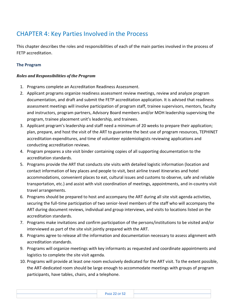## <span id="page-22-0"></span>CHAPTER 4: Key Parties Involved in the Process

This chapter describes the roles and responsibilities of each of the main parties involved in the process of FETP accreditation.

#### <span id="page-22-1"></span>**The Program**

#### <span id="page-22-2"></span>*Roles and Responsibilities of the Program*

- 1. Programs complete an Accreditation Readiness Assessment.
- 2. Applicant programs organize readiness assessment review meetings, review and analyze program documentation, and draft and submit the FETP accreditation application. It is advised that readiness assessment meetings will involve participation of program staff, trainee supervisors, mentors, faculty and instructors, program partners, Advisory Board members and/or MOH leadership supervising the program, trainee placement unit's leadership, and trainees.
- 3. Applicant program's leadership and staff need a minimum of 20 weeks to prepare their application; plan, prepare, and host the visit of the ART to guarantee the best use of program resources, TEPHINET accreditation expenditures, and time of volunteer epidemiologists reviewing applications and conducting accreditation reviews.
- 4. Program prepares a site visit binder containing copies of all supporting documentation to the accreditation standards.
- 5. Programs provide the ART that conducts site visits with detailed logistic information (location and contact information of key places and people to visit, best airline travel itineraries and hotel accommodations, convenient places to eat, cultural issues and customs to observe, safe and reliable transportation, etc.) and assist with visit coordination of meetings, appointments, and in-country visit travel arrangements.
- 6. Programs should be prepared to host and accompany the ART during all site visit agenda activities, securing the full-time participation of two senior-level members of the staff who will accompany the ART during document reviews, individual and group interviews, and visits to locations listed on the accreditation standards.
- 7. Programs make invitations and confirm participation of the persons/institutions to be visited and/or interviewed as part of the site visit jointly prepared with the ART.
- 8. Programs agree to release all the information and documentation necessary to assess alignment with accreditation standards.
- 9. Programs will organize meetings with key informants as requested and coordinate appointments and logistics to complete the site visit agenda.
- 10. Programs will provide at least one room exclusively dedicated for the ART visit. To the extent possible, the ART-dedicated room should be large enough to accommodate meetings with groups of program participants, have tables, chairs, and a telephone.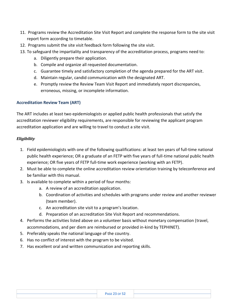- 11. Programs review the Accreditation Site Visit Report and complete the response form to the site visit report form according to timetable.
- 12. Programs submit the site visit feedback form following the site visit.
- 13. To safeguard the impartiality and transparency of the accreditation process, programs need to:
	- a. Diligently prepare their application.
	- b. Compile and organize all requested documentation.
	- c. Guarantee timely and satisfactory completion of the agenda prepared for the ART visit.
	- d. Maintain regular, candid communication with the designated ART.
	- e. Promptly review the Review Team Visit Report and immediately report discrepancies, erroneous, missing, or incomplete information.

#### <span id="page-23-0"></span>**Accreditation Review Team (ART)**

The ART includes at least two epidemiologists or applied public health professionals that satisfy the accreditation reviewer eligibility requirements, are responsible for reviewing the applicant program accreditation application and are willing to travel to conduct a site visit.

#### <span id="page-23-1"></span>*Eligibility*

- 1. Field epidemiologists with one of the following qualifications: at least ten years of full-time national public health experience; OR a graduate of an FETP with five years of full-time national public health experience; OR five years of FETP full-time work experience (working with an FETP).
- 2. Must be able to complete the online accreditation review orientation training by teleconference and be familiar with this manual.
- 3. Is available to complete within a period of four months:
	- a. A review of an accreditation application.
	- b. Coordination of activities and schedules with programs under review and another reviewer (team member).
	- c. An accreditation site visit to a program's location.
	- d. Preparation of an accreditation Site Visit Report and recommendations.
- 4. Performs the activities listed above on a volunteer basis without monetary compensation (travel, accommodations, and per diem are reimbursed or provided in-kind by TEPHINET).
- 5. Preferably speaks the national language of the country.
- 6. Has no conflict of interest with the program to be visited.
- 7. Has excellent oral and written communication and reporting skills.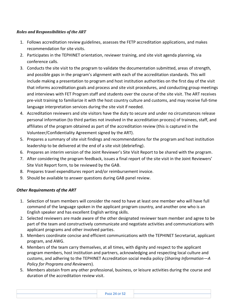#### <span id="page-24-0"></span>*Roles and Responsibilities of the ART*

- 1. Follows accreditation review guidelines, assesses the FETP accreditation applications, and makes recommendation for site visits.
- 2. Participates in the TEPHINET orientation, reviewer training, and site visit agenda planning, via conference calls.
- 3. Conducts the site visit to the program to validate the documentation submitted, areas of strength, and possible gaps in the program's alignment with each of the accreditation standards. This will include making a presentation to program and host institution authorities on the first day of the visit that informs accreditation goals and process and site visit procedures, and conducting group meetings and interviews with FET Program staff and students over the course of the site visit. The ART receives pre-visit training to familiarize it with the host country culture and customs, and may receive full-time language interpretation services during the site visit if needed.
- 4. Accreditation reviewers and site visitors have the duty to secure and under no circumstances release personal information (to third parties not involved in the accreditation process) of trainees, staff, and affiliates of the program obtained as part of the accreditation review (this is captured in the Volunteer/Confidentiality Agreement signed by the ART).
- 5. Prepares a summary of site visit findings and recommendations for the program and host institution leadership to be delivered at the end of a site visit (debriefing).
- 6. Prepares an interim version of the Joint Reviewer's Site Visit Report to be shared with the program.
- 7. After considering the program feedback, issues a final report of the site visit in the Joint Reviewers' Site Visit Report form, to be reviewed by the GAB.
- 8. Prepares travel expenditures report and/or reimbursement invoice.
- 9. Should be available to answer questions during GAB panel review.

#### <span id="page-24-1"></span>*Other Requirements of the ART*

- 1. Selection of team members will consider the need to have at least one member who will have full command of the language spoken in the applicant program country, and another one who is an English speaker and has excellent English writing skills.
- 2. Selected reviewers are made aware of the other designated reviewer team member and agree to be part of the team and constructively communicate and negotiate activities and communications with applicant programs and other involved parties.
- 3. Members coordinate concise and efficient communications with the TEPHINET Secretariat, applicant program, and AWG.
- 4. Members of the team carry themselves, at all times, with dignity and respect to the applicant program members, host institution and partners, acknowledging and respecting local culture and customs, and adhering to the TEPHINET Accreditation social media policy (*Sharing Information—A Policy for Programs and Reviewers*).
- 5. Members abstain from any other professional, business, or leisure activities during the course and duration of the accreditation review visit.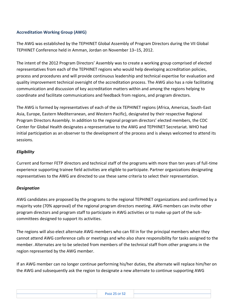#### <span id="page-25-0"></span>**Accreditation Working Group (AWG)**

The AWG was established by the TEPHINET Global Assembly of Program Directors during the VII Global TEPHINET Conference held in Amman, Jordan on November 13–15, 2012.

The intent of the 2012 Program Directors' Assembly was to create a working group comprised of elected representatives from each of the TEPHINET regions who would help developing accreditation policies, process and procedures and will provide continuous leadership and technical expertise for evaluation and quality improvement technical oversight of the accreditation process. The AWG also has a role facilitating communication and discussion of key accreditation matters within and among the regions helping to coordinate and facilitate communications and feedback from regions, and program directors.

The AWG is formed by representatives of each of the six TEPHINET regions (Africa, Americas, South-East Asia, Europe, Eastern Mediterranean, and Western Pacific), designated by their respective Regional Program Directors Assembly. In addition to the regional program directors' elected members, the CDC Center for Global Health designates a representative to the AWG and TEPHINET Secretariat. WHO had initial participation as an observer to the development of the process and is always welcomed to attend its sessions.

#### <span id="page-25-1"></span>*Eligibility*

Current and former FETP directors and technical staff of the programs with more than ten years of full-time experience supporting trainee field activities are eligible to participate. Partner organizations designating representatives to the AWG are directed to use these same criteria to select their representation.

#### <span id="page-25-2"></span>*Designation*

AWG candidates are proposed by the programs to the regional TEPHINET organizations and confirmed by a majority vote (70% approval) of the regional program directors meeting. AWG members can invite other program directors and program staff to participate in AWG activities or to make up part of the subcommittees designed to support its activities.

The regions will also elect alternate AWG members who can fill in for the principal members when they cannot attend AWG conference calls or meetings and who also share responsibility for tasks assigned to the member. Alternates are to be selected from members of the technical staff from other programs in the region represented by the AWG member.

If an AWG member can no longer continue performing his/her duties, the alternate will replace him/her on the AWG and subsequently ask the region to designate a new alternate to continue supporting AWG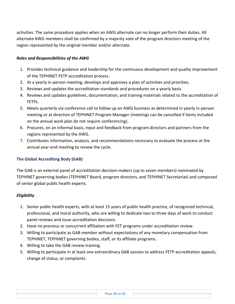activities. The same procedure applies when an AWG alternate can no longer perform their duties. All alternate AWG members shall be confirmed by a majority vote of the program directors meeting of the region represented by the original member and/or alternate.

#### <span id="page-26-0"></span>*Roles and Responsibilities of the AWG*

- 1. Provides technical guidance and leadership for the continuous development and quality improvement of the TEPHINET FETP accreditation process.
- 2. At a yearly in-person meeting, develops and approves a plan of activities and priorities.
- 3. Reviews and updates the accreditation standards and procedures on a yearly basis.
- 4. Reviews and updates guidelines, documentation, and training materials related to the accreditation of FETPs.
- 5. Meets quarterly via conference call to follow up on AWG business as determined in yearly in-person meeting or at direction of TEPHINET Program Manager (meetings can be cancelled if items included on the annual work plan do not require conferencing).
- 6. Procures, on an informal basis, input and feedback from program directors and partners from the regions represented by the AWG.
- 7. Contributes information, analysis, and recommendations necessary to evaluate the process at the annual year-end meeting to review the cycle.

#### <span id="page-26-1"></span>**The Global Accrediting Body (GAB)**

The GAB is an external panel of accreditation decision-makers (up to seven members) nominated by TEPHINET governing bodies (TEPHINET Board, program directors, and TEPHINET Secretariat) and composed of senior global public health experts.

#### <span id="page-26-2"></span>*Eligibility*

- 1. Senior public health experts, with at least 15 years of public health practice, of recognized technical, professional, and moral authority, who are willing to dedicate two to three days of work to conduct panel reviews and issue accreditation decisions.
- 2. Have no previous or concurrent affiliation with FET programs under accreditation review.
- 3. Willing to participate as GAB member without expectations of any monetary compensation from TEPHINET, TEPHINET governing bodies, staff, or its affiliate programs.
- 4. Willing to take the GAB review training.
- 5. Willing to participate in at least one extraordinary GAB session to address FETP accreditation appeals, change of status, or complaints.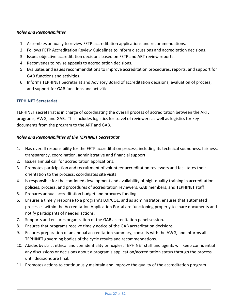#### <span id="page-27-0"></span>*Roles and Responsibilities*

- 1. Assembles annually to review FETP accreditation applications and recommendations.
- 2. Follows FETP Accreditation Review Guidelines to inform discussions and accreditation decisions.
- 3. Issues objective accreditation decisions based on FETP and ART review reports.
- 4. Reconvenes to revise appeals to accreditation decisions.
- 5. Evaluates and issues recommendations to improve accreditation procedures, reports, and support for GAB functions and activities.
- 6. Informs TEPHINET Secretariat and Advisory Board of accreditation decisions, evaluation of process, and support for GAB functions and activities.

#### <span id="page-27-1"></span>**TEPHINET Secretariat**

TEPHINET secretariat is in charge of coordinating the overall process of accreditation between the ART, programs, AWG, and GAB. This includes logistics for travel of reviewers as well as logistics for key documents from the program to the ART and GAB.

#### <span id="page-27-2"></span>*Roles and Responsibilities of the TEPHINET Secretariat*

- 1. Has overall responsibility for the FETP accreditation process, including its technical soundness, fairness, transparency, coordination, administrative and financial support.
- 2. Issues annual call for accreditation applications.
- 3. Promotes participation and recruitment of volunteer accreditation reviewers and facilitates their orientation to the process; coordinates site visits.
- 4. Is responsible for the continued development and availability of high-quality training in accreditation policies, process, and procedures of accreditation reviewers, GAB members, and TEPHINET staff.
- 5. Prepares annual accreditation budget and procures funding.
- 6. Ensures a timely response to a program's LOI/COE, and as administrator, ensures that automated processes within the Accreditation Application Portal are functioning properly to share documents and notify participants of needed actions.
- 7. Supports and ensures organization of the GAB accreditation panel session.
- 8. Ensures that programs receive timely notice of the GAB accreditation decisions.
- 9. Ensures preparation of an annual accreditation summary, consults with the AWG, and informs all TEPHINET governing bodies of the cycle results and recommendations.
- 10. Abides by strict ethical and confidentiality principles; TEPHINET staff and agents will keep confidential any discussions or decisions about a program's application/accreditation status through the process until decisions are final.
- 11. Promotes actions to continuously maintain and improve the quality of the accreditation program.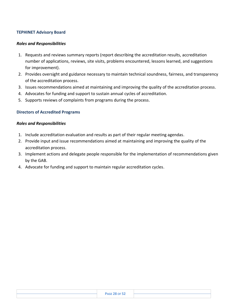#### <span id="page-28-0"></span>**TEPHINET Advisory Board**

#### <span id="page-28-1"></span>*Roles and Responsibilities*

- 1. Requests and reviews summary reports (report describing the accreditation results, accreditation number of applications, reviews, site visits, problems encountered, lessons learned, and suggestions for improvement).
- 2. Provides oversight and guidance necessary to maintain technical soundness, fairness, and transparency of the accreditation process.
- 3. Issues recommendations aimed at maintaining and improving the quality of the accreditation process.
- 4. Advocates for funding and support to sustain annual cycles of accreditation.
- 5. Supports reviews of complaints from programs during the process.

#### <span id="page-28-2"></span>**Directors of Accredited Programs**

#### <span id="page-28-3"></span>*Roles and Responsibilities*

- 1. Include accreditation evaluation and results as part of their regular meeting agendas.
- 2. Provide input and issue recommendations aimed at maintaining and improving the quality of the accreditation process.
- 3. Implement actions and delegate people responsible for the implementation of recommendations given by the GAB.
- 4. Advocate for funding and support to maintain regular accreditation cycles.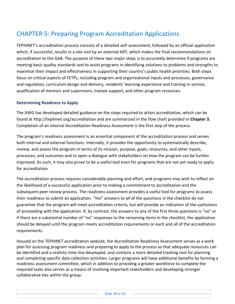## <span id="page-29-0"></span>CHAPTER 5: Preparing Program Accreditation Applications

TEPHINET's accreditation process consists of a detailed self-assessment, followed by an official application which, if successful, results in a site visit by an external ART, which makes the final recommendations on accreditation to the GAB. The purpose of these two major steps is to accurately determine if programs are meeting basic quality standards and to assist programs in identifying solutions to problems and strengths to maximize their impact and effectiveness in supporting their country's public health priorities. Both steps focus on critical aspects of FETPs, including program and organizational inputs and processes, governance and regulation, curriculum design and delivery, residents' learning experience and training in-service, qualification of mentors and supervisors, trainee support, and other program resources.

#### <span id="page-29-1"></span>**Determining Readiness to Apply**

The AWG has developed detailed guidance on the steps required to attain accreditation, which can be found at<http://tephinet.org/accreditation> and are summarized in the flow chart provided in **Chapter 3.**  Completion of an internal Accreditation Readiness Assessment is the first step of the process.

The program's readiness assessment is an essential component of the accreditation process and serves both internal and external functions. Internally, it provides the opportunity to systematically describe, review, and assess the program in terms of its mission, purpose, goals, resources, and other inputs, processes, and outcomes and to open a dialogue with stakeholders on how the program can be further improved. As such, it may also prove to be a useful tool even for programs that are not yet ready to apply for accreditation.

The accreditation process requires considerable planning and effort, and programs may wish to reflect on the likelihood of a successful application prior to making a commitment to accreditation and the subsequent peer review process. The readiness assessment provides a useful tool for programs to assess their readiness to submit an application. "Yes" answers to all of the questions in the checklist do not guarantee that the program will meet accreditation criteria, but will provide an indication of the usefulness of proceeding with the application. If, by contrast, the answers to any of the first three questions is "no" or if there are a substantial number of "no" responses to the remaining items in the checklist, the application should be delayed until the program meets accreditation requirements or each and all of the accreditation requirements.

Housed on the TEPHINET accreditation website, the Accreditation Readiness Assessment serves as a work plan for assessing program readiness and preparing to apply to the process so that adequate resources can be identified and a realistic time line developed, and contains a more detailed tracking tool for planning and completing specific data collection activities. Larger programs will have additional benefits by forming a readiness assessment committee, which in addition to providing a greater workforce to complete the required tasks also serves as a means of involving important stakeholders and developing stronger collaborative ties within the group.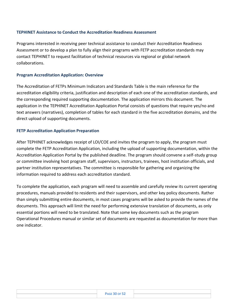#### <span id="page-30-0"></span>**TEPHINET Assistance to Conduct the Accreditation Readiness Assessment**

Programs interested in receiving peer technical assistance to conduct their Accreditation Readiness Assessment or to develop a plan to fully align their programs with FETP accreditation standards may contact TEPHINET to request facilitation of technical resources via regional or global network collaborations.

#### <span id="page-30-1"></span>**Program Accreditation Application: Overview**

The Accreditation of FETPs Minimum Indicators and Standards Table is the main reference for the accreditation eligibility criteria, justification and description of each one of the accreditation standards, and the corresponding required supporting documentation. The application mirrors this document. The application in the TEPHINET Accreditation Application Portal consists of questions that require yes/no and text answers (narratives), completion of tables for each standard in the five accreditation domains, and the direct upload of supporting documents.

#### <span id="page-30-2"></span>**FETP Accreditation Application Preparation**

After TEPHINET acknowledges receipt of LOI/COE and invites the program to apply, the program must complete the FETP Accreditation Application, including the upload of supporting documentation, within the Accreditation Application Portal by the published deadline. The program should convene a self-study group or committee involving host program staff, supervisors, instructors, trainees, host institution officials, and partner institution representatives. The committee is responsible for gathering and organizing the information required to address each accreditation standard.

To complete the application, each program will need to assemble and carefully review its current operating procedures, manuals provided to residents and their supervisors, and other key policy documents. Rather than simply submitting entire documents, in most cases programs will be asked to provide the names of the documents. This approach will limit the need for performing extensive translation of documents, as only essential portions will need to be translated. Note that some key documents such as the program Operational Procedures manual or similar set of documents are requested as documentation for more than one indicator.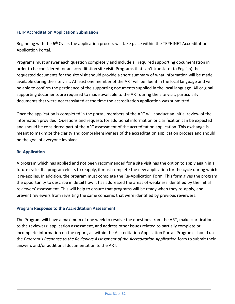#### <span id="page-31-0"></span>**FETP Accreditation Application Submission**

Beginning with the 6<sup>th</sup> Cycle, the application process will take place within the TEPHINET Accreditation Application Portal.

Programs must answer each question completely and include all required supporting documentation in order to be considered for an accreditation site visit. Programs that can't translate (to English) the requested documents for the site visit should provide a short summary of what information will be made available during the site visit. At least one member of the ART will be fluent in the local language and will be able to confirm the pertinence of the supporting documents supplied in the local language. All original supporting documents are required to made available to the ART during the site visit, particularly documents that were not translated at the time the accreditation application was submitted.

Once the application is completed in the portal, members of the ART will conduct an initial review of the information provided. Questions and requests for additional information or clarification can be expected and should be considered part of the ART assessment of the accreditation application. This exchange is meant to maximize the clarity and comprehensiveness of the accreditation application process and should be the goal of everyone involved.

#### <span id="page-31-1"></span>**Re-Application**

A program which has applied and not been recommended for a site visit has the option to apply again in a future cycle. If a program elects to reapply, it must complete the new application for the cycle during which it re-applies. In addition, the program must complete the Re-Application Form. This form gives the program the opportunity to describe in detail how it has addressed the areas of weakness identified by the initial reviewers' assessment. This will help to ensure that programs will be ready when they re-apply, and prevent reviewers from revisiting the same concerns that were identified by previous reviewers.

#### <span id="page-31-2"></span>**Program Response to the Accreditation Assessment**

The Program will have a maximum of one week to resolve the questions from the ART, make clarifications to the reviewers' application assessment, and address other issues related to partially complete or incomplete information on the report, all within the Accreditation Application Portal. Programs should use the *Program's Response to the Reviewers Assessment of the Accreditation Application* form to submit their answers and/or additional documentation to the ART.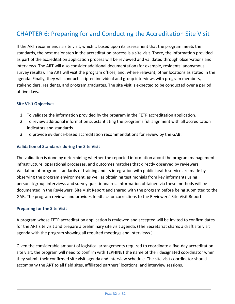## <span id="page-32-0"></span>CHAPTER 6: Preparing for and Conducting the Accreditation Site Visit

If the ART recommends a site visit, which is based upon its assessment that the program meets the standards, the next major step in the accreditation process is a site visit. There, the information provided as part of the accreditation application process will be reviewed and validated through observations and interviews. The ART will also consider additional documentation (for example, residents' anonymous survey results). The ART will visit the program offices, and, where relevant, other locations as stated in the agenda. Finally, they will conduct scripted individual and group interviews with program members, stakeholders, residents, and program graduates. The site visit is expected to be conducted over a period of five days.

#### <span id="page-32-1"></span>**Site Visit Objectives**

- 1. To validate the information provided by the program in the FETP accreditation application.
- 2. To review additional information substantiating the program's full alignment with all accreditation indicators and standards.
- 3. To provide evidence-based accreditation recommendations for review by the GAB.

#### <span id="page-32-2"></span>**Validation of Standards during the Site Visit**

The validation is done by determining whether the reported information about the program management infrastructure, operational processes, and outcomes matches that directly observed by reviewers. Validation of program standards of training and its integration with public health service are made by observing the program environment, as well as obtaining testimonials from key informants using personal/group interviews and survey questionnaires. Information obtained via these methods will be documented in the Reviewers' Site Visit Report and shared with the program before being submitted to the GAB. The program reviews and provides feedback or corrections to the Reviewers' Site Visit Report.

#### <span id="page-32-3"></span>**Preparing for the Site Visit**

A program whose FETP accreditation application is reviewed and accepted will be invited to confirm dates for the ART site visit and prepare a preliminary site visit agenda. (The Secretariat shares a draft site visit agenda with the program showing all required meetings and interviews.)

Given the considerable amount of logistical arrangements required to coordinate a five-day accreditation site visit, the program will need to confirm with TEPHINET the name of their designated coordinator when they submit their confirmed site visit agenda and interview schedule. The site visit coordinator should accompany the ART to all field sites, affiliated partners' locations, and interview sessions.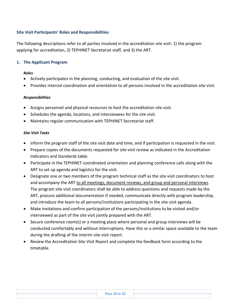#### <span id="page-33-0"></span>**Site Visit Participants' Roles and Responsibilities**

The following descriptions refer to all parties involved in the accreditation site visit: 1) the program applying for accreditation, 2) TEPHINET Secretariat staff, and 3) the ART.

#### <span id="page-33-1"></span>**1. The Applicant Program**

#### *Roles*

- Actively participates in the planning, conducting, and evaluation of the site visit.
- Provides internal coordination and orientation to all persons involved in the accreditation site visit.

#### *Responsibilities*

- Assigns personnel and physical resources to host the accreditation site visit.
- Schedules the agenda, locations, and interviewees for the site visit.
- Maintains regular communication with TEPHINET Secretariat staff.

#### *Site Visit Tasks*

- Inform the program staff of the site visit date and time, and if participation is requested in the visit.
- Prepare copies of the documents requested for site visit review as indicated in the Accreditation Indicators and Standards table.
- Participate in the TEPHINET-coordinated orientation and planning conference calls along with the ART to set up agenda and logistics for the visit.
- Designate one or two members of the program technical staff as the site visit coordinators to host and accompany the ART to all meetings, document reviews, and group and personal interviews. The program site visit coordinators shall be able to address questions and requests made by the ART, procure additional documentation if needed, communicate directly with program leadership, and introduce the team to all persons/institutions participating in the site visit agenda.
- Make invitations and confirm participation of the persons/institutions to be visited and/or interviewed as part of the site visit jointly prepared with the ART.
- Secure conference room(s) or a meeting place where personal and group interviews will be conducted comfortably and without interruptions. Have this or a similar space available to the team during the drafting of the interim site visit report.
- Review the Accreditation Site Visit Report and complete the feedback form according to the timetable.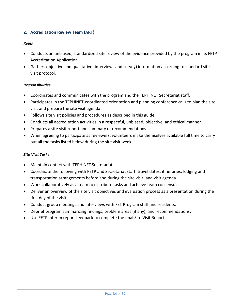#### <span id="page-34-0"></span>**2. Accreditation Review Team (ART)**

#### *Roles*

- Conducts an unbiased, standardized site review of the evidence provided by the program in its FETP Accreditation Application.
- Gathers objective and qualitative (interviews and survey) information according to standard site visit protocol.

#### *Responsibilities*

- Coordinates and communicates with the program and the TEPHINET Secretariat staff.
- Participates in the TEPHINET-coordinated orientation and planning conference calls to plan the site visit and prepare the site visit agenda.
- Follows site visit policies and procedures as described in this guide.
- Conducts all accreditation activities in a respectful, unbiased, objective, and ethical manner.
- Prepares a site visit report and summary of recommendations.
- When agreeing to participate as reviewers, volunteers make themselves available full time to carry out all the tasks listed below during the site visit week.

#### *Site Visit Tasks*

- Maintain contact with TEPHINET Secretariat.
- Coordinate the following with FETP and Secretariat staff: travel dates; itineraries; lodging and transportation arrangements before and during the site visit; and visit agenda.
- Work collaboratively as a team to distribute tasks and achieve team consensus.
- Deliver an overview of the site visit objectives and evaluation process as a presentation during the first day of the visit.
- Conduct group meetings and interviews with FET Program staff and residents.
- Debrief program summarizing findings, problem areas (if any), and recommendations.
- Use FETP interim report feedback to complete the final Site Visit Report.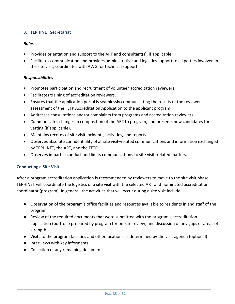#### <span id="page-35-0"></span>**3. TEPHINET Secretariat**

#### *Roles*

- Provides orientation and support to the ART and consultant(s), if applicable.
- Facilitates communication and provides administrative and logistics support to all parties involved in the site visit; coordinates with AWG for technical support.

#### *Responsibilities*

- Promotes participation and recruitment of volunteer accreditation reviewers.
- Facilitates training of accreditation reviewers.
- Ensures that the application portal is seamlessly communicating the results of the reviewers' assessment of the FETP Accreditation Application to the applicant program.
- Addresses consultations and/or complaints from programs and accreditation reviewers.
- Communicates changes in composition of the ART to program, and presents new candidates for vetting (if applicable).
- Maintains records of site visit incidents, activities, and reports.
- Observes absolute confidentiality of all site visit–related communications and information exchanged by TEPHINET, the ART, and the FETP.
- Observes impartial conduct and limits communications to site visit–related matters.

#### <span id="page-35-1"></span>**Conducting a Site Visit**

After a program accreditation application is recommended by reviewers to move to the site visit phase, TEPHINET will coordinate the logistics of a site visit with the selected ART and nominated accreditation coordinator (program). In general, the activities that will occur during a site visit include:

- Observation of the program's office facilities and resources available to residents in and staff of the program.
- Review of the required documents that were submitted with the program's accreditation. application (portfolio prepared by program for on-site review) and discussion of any gaps or areas of strength.
- Visits to the program facilities and other locations as determined by the visit agenda (optional).
- Interviews with key informants.
- Collection of any remaining documents.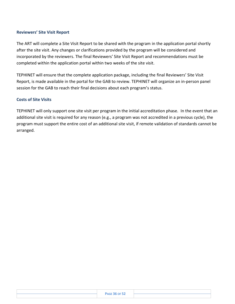#### <span id="page-36-0"></span>**Reviewers' Site Visit Report**

The ART will complete a Site Visit Report to be shared with the program in the application portal shortly after the site visit. Any changes or clarifications provided by the program will be considered and incorporated by the reviewers. The final Reviewers' Site Visit Report and recommendations must be completed within the application portal within two weeks of the site visit.

TEPHINET will ensure that the complete application package, including the final Reviewers' Site Visit Report, is made available in the portal for the GAB to review. TEPHINET will organize an in-person panel session for the GAB to reach their final decisions about each program's status.

#### <span id="page-36-1"></span>**Costs of Site Visits**

TEPHINET will only support one site visit per program in the initial accreditation phase. In the event that an additional site visit is required for any reason (e.g., a program was not accredited in a previous cycle), the program must support the entire cost of an additional site visit, if remote validation of standards cannot be arranged.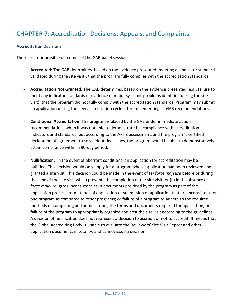## <span id="page-37-0"></span>CHAPTER 7: Accreditation Decisions, Appeals, and Complaints

#### <span id="page-37-1"></span>**Accreditation Decisions**

There are four possible outcomes of the GAB panel session.

- **Accredited:** The GAB determines, based on the evidence presented (meeting all indicator standards validated during the site visit), that the program fully complies with the accreditation standards.
- **Accreditation Not Granted:** The GAB determines, based on the evidence presented (e.g., failure to meet any indicator standards or evidence of major systemic problems identified during the site visit), that the program did not fully comply with the accreditation standards. Program may submit an application during the new accreditation cycle after implementing all GAB recommendations.
- **Conditional Accreditation:** The program is placed by the GAB under immediate action recommendations when it was not able to demonstrate full compliance with accreditation indicators and standards, but according to the ART's assessment, and the program's certified declaration of agreement to solve identified issues, the program would be able to demonstratively attain compliance within a 90-day period.
- **Nullification**: In the event of aberrant conditions, an application for accreditation may be nullified. This decision would only apply for a program whose application had been reviewed and granted a site visit. This decision could be made in the event of (a) *force majeure* before or during the time of the site visit which prevents the completion of the site visit; or (b) in the absence of *force majeure*: gross inconsistencies in documents provided by the program as part of the application process; or methods of application or submission of application that are inconsistent for one program as compared to other programs; or failure of a program to adhere to the required methods of completing and administering the forms and documents required for application; or failure of the program to appropriately organize and host the site visit according to the guidelines. A decision of nullification does not represent a decision to accredit or not to accredit. It means that the Global Accrediting Body is unable to evaluate the Reviewers' Site Visit Report and other application documents in totality, and cannot issue a decision.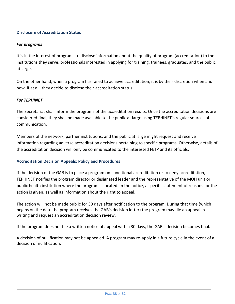#### <span id="page-38-0"></span>**Disclosure of Accreditation Status**

#### <span id="page-38-1"></span>*For programs*

It is in the interest of programs to disclose information about the quality of program (accreditation) to the institutions they serve, professionals interested in applying for training, trainees, graduates, and the public at large.

On the other hand, when a program has failed to achieve accreditation, it is by their discretion when and how, if at all, they decide to disclose their accreditation status.

#### <span id="page-38-2"></span>*For TEPHINET*

The Secretariat shall inform the programs of the accreditation results. Once the accreditation decisions are considered final, they shall be made available to the public at large using TEPHINET's regular sources of communication.

Members of the network, partner institutions, and the public at large might request and receive information regarding adverse accreditation decisions pertaining to specific programs. Otherwise, details of the accreditation decision will only be communicated to the interested FETP and its officials.

#### <span id="page-38-3"></span>**Accreditation Decision Appeals: Policy and Procedures**

If the decision of the GAB is to place a program on conditional accreditation or to deny accreditation, TEPHINET notifies the program director or designated leader and the representative of the MOH unit or public health institution where the program is located. In the notice, a specific statement of reasons for the action is given, as well as information about the right to appeal.

The action will not be made public for 30 days after notification to the program. During that time (which begins on the date the program receives the GAB's decision letter) the program may file an appeal in writing and request an accreditation decision review.

If the program does not file a written notice of appeal within 30 days, the GAB's decision becomes final.

A decision of nullification may not be appealed. A program may re-apply in a future cycle in the event of a decision of nullification.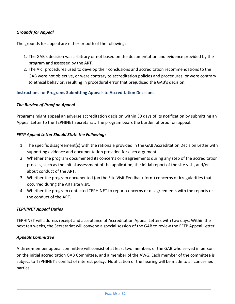#### <span id="page-39-0"></span>*Grounds for Appeal*

The grounds for appeal are either or both of the following:

- 1. The GAB's decision was arbitrary or not based on the documentation and evidence provided by the program and assessed by the ART.
- 2. The ART procedures used to develop their conclusions and accreditation recommendations to the GAB were not objective, or were contrary to accreditation policies and procedures, or were contrary to ethical behavior, resulting in procedural error that prejudiced the GAB's decision.

#### <span id="page-39-1"></span>**Instructions for Programs Submitting Appeals to Accreditation Decisions**

#### <span id="page-39-2"></span>*The Burden of Proof on Appeal*

Programs might appeal an adverse accreditation decision within 30 days of its notification by submitting an Appeal Letter to the TEPHINET Secretariat. The program bears the burden of proof on appeal.

#### <span id="page-39-3"></span>*FETP Appeal Letter Should State the Following:*

- 1. The specific disagreement(s) with the rationale provided in the GAB Accreditation Decision Letter with supporting evidence and documentation provided for each argument.
- 2. Whether the program documented its concerns or disagreements during any step of the accreditation process, such as the initial assessment of the application, the initial report of the site visit, and/or about conduct of the ART.
- 3. Whether the program documented (on the Site Visit Feedback form) concerns or irregularities that occurred during the ART site visit.
- 4. Whether the program contacted TEPHINET to report concerns or disagreements with the reports or the conduct of the ART.

#### <span id="page-39-4"></span>*TEPHINET Appeal Duties*

TEPHINET will address receipt and acceptance of Accreditation Appeal Letters with two days. Within the next ten weeks, the Secretariat will convene a special session of the GAB to review the FETP Appeal Letter.

#### <span id="page-39-5"></span>*Appeals Committee*

A three-member appeal committee will consist of at least two members of the GAB who served in person on the initial accreditation GAB Committee, and a member of the AWG. Each member of the committee is subject to TEPHINET's conflict of interest policy. Notification of the hearing will be made to all concerned parties.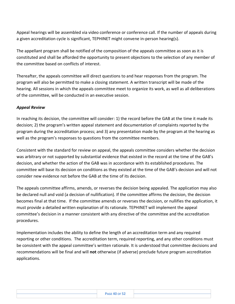Appeal hearings will be assembled via video conference or conference call. If the number of appeals during a given accreditation cycle is significant, TEPHINET might convene in-person hearing(s).

The appellant program shall be notified of the composition of the appeals committee as soon as it is constituted and shall be afforded the opportunity to present objections to the selection of any member of the committee based on conflicts of interest.

Thereafter, the appeals committee will direct questions to and hear responses from the program. The program will also be permitted to make a closing statement. A written transcript will be made of the hearing. All sessions in which the appeals committee meet to organize its work, as well as all deliberations of the committee, will be conducted in an executive session.

#### <span id="page-40-0"></span>*Appeal Review*

In reaching its decision, the committee will consider: 1) the record before the GAB at the time it made its decision; 2) the program's written appeal statement and documentation of complaints reported by the program during the accreditation process; and 3) any presentation made by the program at the hearing as well as the program's responses to questions from the committee members.

Consistent with the standard for review on appeal, the appeals committee considers whether the decision was arbitrary or not supported by substantial evidence that existed in the record at the time of the GAB's decision, and whether the action of the GAB was in accordance with its established procedures. The committee will base its decision on conditions as they existed at the time of the GAB's decision and will not consider new evidence not before the GAB at the time of its decision.

The appeals committee affirms, amends, or reverses the decision being appealed. The application may also be declared null and void (a decision of nullification). If the committee affirms the decision, the decision becomes final at that time. If the committee amends or reverses the decision, or nullifies the application, it must provide a detailed written explanation of its rationale. TEPHINET will implement the appeal committee's decision in a manner consistent with any directive of the committee and the accreditation procedures.

Implementation includes the ability to define the length of an accreditation term and any required reporting or other conditions. The accreditation term, required reporting, and any other conditions must be consistent with the appeal committee's written rationale. It is understood that committee decisions and recommendations will be final and will **not** otherwise (if adverse) preclude future program accreditation applications.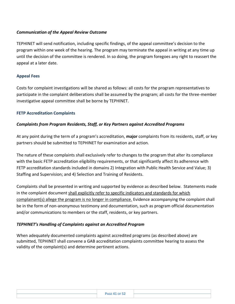#### <span id="page-41-0"></span>*Communication of the Appeal Review Outcome*

TEPHINET will send notification, including specific findings, of the appeal committee's decision to the program within one week of the hearing. The program may terminate the appeal in writing at any time up until the decision of the committee is rendered. In so doing, the program foregoes any right to reassert the appeal at a later date.

#### <span id="page-41-1"></span>**Appeal Fees**

Costs for complaint investigations will be shared as follows: all costs for the program representatives to participate in the complaint deliberations shall be assumed by the program; all costs for the three-member investigative appeal committee shall be borne by TEPHINET.

#### <span id="page-41-2"></span>**FETP Accreditation Complaints**

#### <span id="page-41-3"></span>*Complaints from Program Residents, Staff, or Key Partners against Accredited Programs*

At any point during the term of a program's accreditation, **major** complaints from its residents, staff, or key partners should be submitted to TEPHINET for examination and action.

The nature of these complaints shall exclusively refer to changes to the program that alter its compliance with the basic FETP accreditation eligibility requirements, or that significantly affect its adherence with FETP accreditation standards included in domains 2) Integration with Public Health Service and Value; 3) Staffing and Supervision; and 4) Selection and Training of Residents.

Complaints shall be presented in writing and supported by evidence as described below. Statements made in the complaint document shall explicitly refer to specific indicators and standards for which complainant(s) allege the program is no longer in compliance. Evidence accompanying the complaint shall be in the form of non-anonymous testimony and documentation, such as program official documentation and/or communications to members or the staff, residents, or key partners.

#### <span id="page-41-4"></span>*TEPHINET's Handling of Complaints against an Accredited Program*

When adequately documented complaints against accredited programs (as described above) are submitted, TEPHINET shall convene a GAB accreditation complaints committee hearing to assess the validity of the complaint(s) and determine pertinent actions.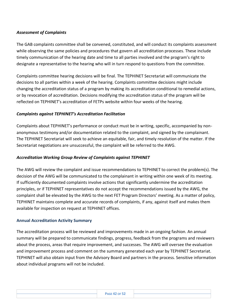#### <span id="page-42-0"></span>*Assessment of Complaints*

The GAB complaints committee shall be convened, constituted, and will conduct its complaints assessment while observing the same policies and procedures that govern all accreditation processes. These include timely communication of the hearing date and time to all parties involved and the program's right to designate a representative to the hearing who will in turn respond to questions from the committee.

Complaints committee hearing decisions will be final. The TEPHINET Secretariat will communicate the decisions to all parties within a week of the hearing. Complaints committee decisions might include changing the accreditation status of a program by making its accreditation conditional to remedial actions, or by revocation of accreditation. Decisions modifying the accreditation status of the program will be reflected on TEPHINET's accreditation of FETPs website within four weeks of the hearing.

#### <span id="page-42-1"></span>*Complaints against TEPHINET's Accreditation Facilitation*

Complaints about TEPHINET's performance or conduct must be in writing, specific, accompanied by nonanonymous testimony and/or documentation related to the complaint, and signed by the complainant. The TEPHINET Secretariat will seek to achieve an equitable, fair, and timely resolution of the matter. If the Secretariat negotiations are unsuccessful, the complaint will be referred to the AWG.

#### <span id="page-42-2"></span>*Accreditation Working Group Review of Complaints against TEPHINET*

The AWG will review the complaint and issue recommendations to TEPHINET to correct the problem(s). The decision of the AWG will be communicated to the complainant in writing within one week of its meeting. If sufficiently documented complaints involve actions that significantly undermine the accreditation principles, or if TEPHINET representatives do not accept the recommendations issued by the AWG, the complaint shall be elevated by the AWG to the next FET Program Directors' meeting. As a matter of policy, TEPHINET maintains complete and accurate records of complaints, if any, against itself and makes them available for inspection on request at TEPHINET offices.

#### <span id="page-42-3"></span>**Annual Accreditation Activity Summary**

The accreditation process will be reviewed and improvements made in an ongoing fashion. An annual summary will be prepared to communicate findings, progress, feedback from the programs and reviewers about the process, areas that require improvement, and successes. The AWG will oversee the evaluation and improvement process and comment on the summary generated each year by TEPHINET Secretariat. TEPHINET will also obtain input from the Advisory Board and partners in the process. Sensitive information about individual programs will not be included.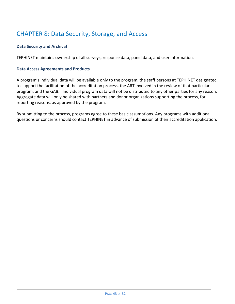## <span id="page-43-0"></span>CHAPTER 8: Data Security, Storage, and Access

#### <span id="page-43-1"></span>**Data Security and Archival**

TEPHINET maintains ownership of all surveys, response data, panel data, and user information.

#### <span id="page-43-2"></span>**Data Access Agreements and Products**

A program's individual data will be available only to the program, the staff persons at TEPHINET designated to support the facilitation of the accreditation process, the ART involved in the review of that particular program, and the GAB. Individual program data will not be distributed to any other parties for any reason. Aggregate data will only be shared with partners and donor organizations supporting the process, for reporting reasons, as approved by the program.

By submitting to the process, programs agree to these basic assumptions. Any programs with additional questions or concerns should contact TEPHINET in advance of submission of their accreditation application.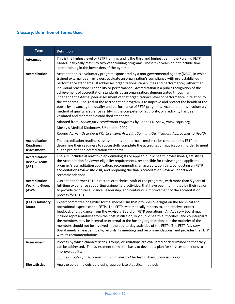## <span id="page-44-0"></span>**Glossary: Definition of Terms Used**

| <b>Term</b>                                           | <b>Definition</b>                                                                                                                                                                                                                                                                                                                                                                                                                                                                                                                                                                                                                                                                                                                                                                                                                                                                                                                                                                                                                                                                                                                                                                                   |
|-------------------------------------------------------|-----------------------------------------------------------------------------------------------------------------------------------------------------------------------------------------------------------------------------------------------------------------------------------------------------------------------------------------------------------------------------------------------------------------------------------------------------------------------------------------------------------------------------------------------------------------------------------------------------------------------------------------------------------------------------------------------------------------------------------------------------------------------------------------------------------------------------------------------------------------------------------------------------------------------------------------------------------------------------------------------------------------------------------------------------------------------------------------------------------------------------------------------------------------------------------------------------|
| <b>Advanced</b>                                       | This is the highest level of FETP training, and is the third and highest tier in the Pyramid FETP<br>Model. It typically refers to two-year training programs. These two years do not include time<br>spent training in the lower tiers of the pyramid.                                                                                                                                                                                                                                                                                                                                                                                                                                                                                                                                                                                                                                                                                                                                                                                                                                                                                                                                             |
| <b>Accreditation</b>                                  | Accreditation is a voluntary program, sponsored by a non-governmental agency (NGO), in which<br>trained external peer reviewers evaluate an organization's compliance with pre-established<br>performance standards. It addresses organizational capabilities and performance; rather than<br>individual practitioner capability or performance. Accreditation is a public recognition of the<br>achievement of accreditation standards by an organization, demonstrated through an<br>independent external peer assessment of that organization's level of performance in relation to<br>the standards. The goal of the accreditation program is to improve and protect the health of the<br>public by advancing the quality and performance of FETP programs. Accreditation is a voluntary<br>method of quality assurance certifying the competency, authority, or credibility has been<br>validated and meets the established standards.<br>Adapted from: Toolkit for Accreditation Programs by Charles D. Shaw, www.isqua.org.<br>Mosby's Medical Dictionary, 8 <sup>th</sup> edition, 2009.<br>Rooney AL, van Ostenberg PR. Licensure, Accreditation, and Certification: Approaches to Health. |
| Accreditation                                         | The accreditation readiness assessment is an internal exercise to be conducted by FETP to                                                                                                                                                                                                                                                                                                                                                                                                                                                                                                                                                                                                                                                                                                                                                                                                                                                                                                                                                                                                                                                                                                           |
| <b>Readiness</b><br>Assessment                        | determine their readiness to successfully complete the accreditation application in order to meet<br>all the pre-defined accreditation standards.                                                                                                                                                                                                                                                                                                                                                                                                                                                                                                                                                                                                                                                                                                                                                                                                                                                                                                                                                                                                                                                   |
| <b>Accreditation</b><br><b>Review Team</b><br>(ART)   | The ART includes at least two epidemiologists or applied public health professionals, satisfying<br>the Accreditation Reviewer eligibility requirements, responsible for reviewing the applicant<br>program's accreditation application, recommending an accreditation visit, conducting an FETP<br>accreditation review site visit, and preparing the final Accreditation Review Report and<br>recommendations.                                                                                                                                                                                                                                                                                                                                                                                                                                                                                                                                                                                                                                                                                                                                                                                    |
| <b>Accreditation</b><br><b>Working Group</b><br>(AWG) | Current and former FETP directors or technical staff of the programs, with more than 5 years of<br>full-time experience supporting trainee field activities, that have been nominated by their region<br>to provide technical guidance, leadership, and continuous improvement of the accreditation<br>process for FETPs.                                                                                                                                                                                                                                                                                                                                                                                                                                                                                                                                                                                                                                                                                                                                                                                                                                                                           |
| (FETP) Advisory<br><b>Board</b>                       | Expert committee or similar formal mechanism that provides oversight on the technical and<br>operational aspects of the FETP. The FETP systematically reports to, and receives expert<br>feedback and guidance from the Advisory Board on FETP operations. An Advisory Board may<br>include representatives from the host institution, key public health authorities, and counterparts;<br>the members may be internal or external to the hosting organization, but the majority of the<br>members should not be involved in the day-to-day activities of the FETP. The FETP Advisory<br>Board meets at least annually, records its meetings and recommendations, and provides the FETP<br>with its recommendations.                                                                                                                                                                                                                                                                                                                                                                                                                                                                                |
| <b>Assessment</b>                                     | Process by which characteristics, groups, or situations are evaluated or determined so that they<br>can be addressed. The assessment forms the basis to develop a plan for services or actions to<br>improve quality.                                                                                                                                                                                                                                                                                                                                                                                                                                                                                                                                                                                                                                                                                                                                                                                                                                                                                                                                                                               |
|                                                       | Sources: Toolkit for Accreditation Programs by Charles D. Shaw, www.isqua.org.                                                                                                                                                                                                                                                                                                                                                                                                                                                                                                                                                                                                                                                                                                                                                                                                                                                                                                                                                                                                                                                                                                                      |
| <b>Biostatistics</b>                                  | Analyze epidemiologic data using appropriate statistical methods.                                                                                                                                                                                                                                                                                                                                                                                                                                                                                                                                                                                                                                                                                                                                                                                                                                                                                                                                                                                                                                                                                                                                   |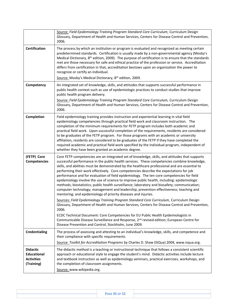|                                                                          | Source: Field Epidemiology Training Program Standard Core Curriculum, Curriculum Design<br>Glossary, Department of Health and Human Services, Centers for Disease Control and Prevention,<br>2006.                                                                                                                                                                                                                                                                                                                                                                                                                                                                                                                                                                                                                                               |
|--------------------------------------------------------------------------|--------------------------------------------------------------------------------------------------------------------------------------------------------------------------------------------------------------------------------------------------------------------------------------------------------------------------------------------------------------------------------------------------------------------------------------------------------------------------------------------------------------------------------------------------------------------------------------------------------------------------------------------------------------------------------------------------------------------------------------------------------------------------------------------------------------------------------------------------|
| <b>Certification</b>                                                     | The process by which an institution or program is evaluated and recognized as meeting certain<br>predetermined standards. Certification is usually made by a non-governmental agency (Mosby's<br>Medical Dictionary, 8 <sup>th</sup> edition, 2009). The purpose of certification is to ensure that the standards<br>met are those necessary for safe and ethical practice of the profession or service. Accreditation<br>differs from certification in that, accreditation bestows upon an organization the power to<br>recognize or certify an individual.<br>Source: Mosby's Medical Dictionary, 8 <sup>th</sup> edition, 2009.                                                                                                                                                                                                               |
| Competency                                                               | An integrated set of knowledge, skills, and attitudes that supports successful performance in<br>public health context such as use of epidemiologic practices to conduct studies that improve<br>public health program delivery.                                                                                                                                                                                                                                                                                                                                                                                                                                                                                                                                                                                                                 |
|                                                                          | Source: Field Epidemiology Training Program Standard Core Curriculum, Curriculum Design<br>Glossary, Department of Health and Human Services, Centers for Disease Control and Prevention,<br>2006.                                                                                                                                                                                                                                                                                                                                                                                                                                                                                                                                                                                                                                               |
| Completion                                                               | Field epidemiology training provides instruction and experiential learning in vital field<br>epidemiology competencies through practical field work and classroom instruction. The<br>completion of the minimum requirements for FETP program includes both academic and<br>practical field work. Upon successful completion of the requirements, residents are considered<br>to be graduates of the FETP program. For those programs with an academic or university<br>affiliation, residents are considered to be graduates of the FETP if they have completed the<br>required academic and practical field work specified by the individual program, independent of<br>whether they have been granted an academic degree.                                                                                                                     |
| (FETP) Core<br><b>Competencies</b>                                       | Core FETP competencies are an integrated set of knowledge, skills, and attitudes that supports<br>successful performance in the public health services. These competencies combine knowledge,<br>skills, and abilities must be demonstrated by the healthcare professional and are essential to<br>performing their work effectively. Core competencies describe the expectations for job<br>performance and for evaluation of field epidemiology. The ten core competencies for field<br>epidemiology involve the use of science to improve public health, including: epidemiologic<br>methods; biostatistics; public health surveillance; laboratory and biosafety; communication;<br>computer technology; management and leadership; prevention effectiveness; teaching and<br>mentoring; and epidemiology of priority diseases and injuries. |
|                                                                          | Sources: Field Epidemiology Training Program Standard Core Curriculum, Curriculum Design<br>Glossary, Department of Health and Human Services, Centers for Disease Control and Prevention,<br>2006.                                                                                                                                                                                                                                                                                                                                                                                                                                                                                                                                                                                                                                              |
|                                                                          | ECDC Technical Document: Core Competencies for EU Public Health Epidemiologists in<br>Communicable Disease Surveillance and Response, 2 <sup>nd</sup> revised edition; European Centre for<br>Disease Prevention and Control, Stockholm, June 2009.                                                                                                                                                                                                                                                                                                                                                                                                                                                                                                                                                                                              |
| <b>Credentialing</b>                                                     | The process of assessing and attesting to an individual's knowledge, skills, and competence and<br>their compliance with specific requirements.<br>Source: Toolkit for Accreditation Programs by Charles D. Shaw (ISQua) 2004, www.isqua.org.                                                                                                                                                                                                                                                                                                                                                                                                                                                                                                                                                                                                    |
| <b>Didactic</b><br><b>Educational</b><br><b>Activities</b><br>(Training) | The didactic method is a teaching or instructional technique that follows a consistent scientific<br>approach or educational style to engage the student's mind. Didactic activities include lecture<br>and textbook instruction as well as epidemiology seminars, practical exercises, workshops, and<br>the completion of classroom assignments.<br>Source: www.wikipedia.org.                                                                                                                                                                                                                                                                                                                                                                                                                                                                 |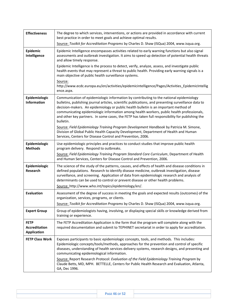| <b>Effectiveness</b>                                      | The degree to which services, interventions, or actions are provided in accordance with current<br>best practice in order to meet goals and achieve optimal results.                                                                                                                                                                                                                                                                                                                                                                                                                                            |
|-----------------------------------------------------------|-----------------------------------------------------------------------------------------------------------------------------------------------------------------------------------------------------------------------------------------------------------------------------------------------------------------------------------------------------------------------------------------------------------------------------------------------------------------------------------------------------------------------------------------------------------------------------------------------------------------|
|                                                           | Source: Toolkit for Accreditation Programs by Charles D. Shaw (ISQua) 2004, www.isqua.org.                                                                                                                                                                                                                                                                                                                                                                                                                                                                                                                      |
| Epidemic<br>Intelligence                                  | Epidemic Intelligence encompasses activities related to early warning functions but also signal<br>assessments and outbreak investigation. It aims to speed up detection of potential health threats<br>and allow timely response.<br>Epidemic Intelligence is the process to detect, verify, analyze, assess, and investigate public<br>health events that may represent a threat to public health. Providing early warning signals is a<br>main objective of public health surveillance systems.<br>Source:<br>http://www.ecdc.europa.eu/en/activities/epidemicintelligence/Pages/Activities_EpidemicIntellig |
|                                                           | ence.aspx.                                                                                                                                                                                                                                                                                                                                                                                                                                                                                                                                                                                                      |
| Epidemiologic<br>Information                              | Communication of epidemiologic information by contributing to the national epidemiology<br>bulletins, publishing journal articles, scientific publications, and presenting surveillance data to<br>decision-makers. An epidemiology or public health bulletin is an important method of<br>communicating epidemiologic information among health workers, public health professionals,<br>and other key partners. In some cases, the FETP has taken full responsibility for publishing the<br>bulletin.                                                                                                          |
|                                                           | Source: Field Epidemiology Training Program Development Handbook by Patricia M. Simone,<br>Division of Global Public Health Capacity Development, Department of Health and Human<br>Services, Centers for Disease Control and Prevention, 2006.                                                                                                                                                                                                                                                                                                                                                                 |
| Epidemiologic<br><b>Methods</b>                           | Use epidemiologic principles and practices to conduct studies that improve public health<br>program delivery. Respond to outbreaks.<br>Source: Field Epidemiology Training Program Standard Core Curriculum, Department of Health<br>and Human Services, Centers for Disease Control and Prevention, 2006.                                                                                                                                                                                                                                                                                                      |
| Epidemiologic<br>Research                                 | The science of the study of the patterns, causes, and effects of health and disease conditions in<br>defined populations. Research to identify disease medicine, outbreak investigation, disease<br>surveillance, and screening. Application of data from epidemiologic research and analysis of<br>determinants can be used to control or prevent disease or other health problems.<br>Source: http://www.who.int/topics/epidemiology/en/.                                                                                                                                                                     |
| <b>Evaluation</b>                                         | Assessment of the degree of success in meeting the goals and expected results (outcomes) of the                                                                                                                                                                                                                                                                                                                                                                                                                                                                                                                 |
|                                                           | organization, services, programs, or clients.                                                                                                                                                                                                                                                                                                                                                                                                                                                                                                                                                                   |
|                                                           | Source: Toolkit for Accreditation Programs by Charles D. Shaw (ISQua) 2004, www.isqua.org.                                                                                                                                                                                                                                                                                                                                                                                                                                                                                                                      |
| <b>Expert Group</b>                                       | Group of epidemiologists having, involving, or displaying special skills or knowledge derived from<br>training or experience.                                                                                                                                                                                                                                                                                                                                                                                                                                                                                   |
| <b>FETP</b><br><b>Accreditation</b><br><b>Application</b> | The FETP Accreditation Application is the form that the program will complete along with the<br>required documentation and submit to TEPHINET secretariat in order to apply for accreditation.                                                                                                                                                                                                                                                                                                                                                                                                                  |
| <b>FETP Class Work</b>                                    | Exposes participants to basic epidemiologic concepts, tools, and methods. This includes:<br>Epidemiologic concepts/tools/methods, approaches for the prevention and control of specific<br>diseases, understanding of health services delivery systems, research designs, and presenting and<br>communicating epidemiological information.                                                                                                                                                                                                                                                                      |
|                                                           | Source: Report Research Protocol: Evaluation of the Field Epidemiology Training Program by<br>Claude Betts, MD, MPH. BETTELLE, Centers for Public Health Research and Evaluation, Atlanta,<br>GA, Dec 1996.                                                                                                                                                                                                                                                                                                                                                                                                     |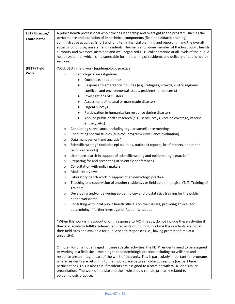| <b>FETP Director/</b><br>Coordinator | A public health professional who provides leadership and oversight to the program, such as the<br>performance and operation of its technical components (field and didactic training),<br>administrative activities (short and long term financial planning and reporting), and the overall<br>supervision of program staff and residents. He/she is a full-time member of the host public health<br>authority and oversees sustained and well-organized FETP collaborations at all levels of the public<br>health system(s), which is indispensable for the training of residents and delivery of public health<br>services.                                                                                                                                                                                                                                                                                                                                                                                                                                                                                                                                                                                                                                                                                                                                                                                                                                                                                                                                                                                                                       |
|--------------------------------------|-----------------------------------------------------------------------------------------------------------------------------------------------------------------------------------------------------------------------------------------------------------------------------------------------------------------------------------------------------------------------------------------------------------------------------------------------------------------------------------------------------------------------------------------------------------------------------------------------------------------------------------------------------------------------------------------------------------------------------------------------------------------------------------------------------------------------------------------------------------------------------------------------------------------------------------------------------------------------------------------------------------------------------------------------------------------------------------------------------------------------------------------------------------------------------------------------------------------------------------------------------------------------------------------------------------------------------------------------------------------------------------------------------------------------------------------------------------------------------------------------------------------------------------------------------------------------------------------------------------------------------------------------------|
| (FETP) Field<br><b>Work</b>          | INCLUDED in field work (epidemiologic practice):<br>Epidemiological investigations<br>$\circ$<br>Outbreaks or epidemics<br>Response to emergency inquiries (e.g., refugees, crowds, civil or regional<br>$\bullet$<br>conflicts, and environmental issues, problems, or concerns)<br>Investigations of clusters<br>٠<br>Assessment of natural or man-made disasters<br>$\bullet$<br>Urgent surveys<br>$\bullet$<br>Participation in humanitarian response during disasters<br>$\bullet$<br>Applied public health research (e.g., serosurveys, vaccine coverage, vaccine<br>$\bullet$<br>efficacy, etc.)<br>Conducting surveillance, including regular surveillance meetings<br>O<br>Conducting special studies (surveys, program/surveillance evaluation)<br>$\circ$<br>Data management and analysis*<br>O<br>Scientific writing* (includes epi bulletins, outbreak reports, brief reports, and other<br>O<br>technical reports)<br>Literature search in support of scientific writing and epidemiologic practice*<br>O<br>Preparing for and presenting at scientific conferences<br>$\circ$<br>Consultation with policy makers<br>$\circ$<br>Media interviews<br>O<br>Laboratory bench work in support of epidemiologic practice<br>$\circ$<br>Teaching and supervision of another resident/s or field epidemiologists (ToT: Training of<br>$\circ$<br>Trainers)<br>Developing and/or delivering epidemiology and biostatistics training for the public<br>$\circ$<br>health workforce<br>Consulting with local public health officials on their issues, providing advice, and<br>$\circ$<br>determining if further investigation/action is needed |
|                                      | *When this work is in support of or in response to MOH needs; do not include these activities if<br>they are largely to fulfill academic requirements or if during this time the residents are not at<br>their field sites and available for public health responses (i.e., having protected time at a<br>university).<br>Of note: For time not engaged in these specific activities, the FETP residents need to be assigned<br>or working in a field site - meaning that epidemiologic practice including surveillance and<br>response are an integral part of the work of that unit. This is particularly important for programs<br>where residents are returning to their workplace between didactic sessions (i.e. part time<br>participation). This is also true if residents are assigned to a rotation with WHO or a similar<br>organization. The work of the site and their role should remain primarily related to<br>epidemiologic practice.                                                                                                                                                                                                                                                                                                                                                                                                                                                                                                                                                                                                                                                                                              |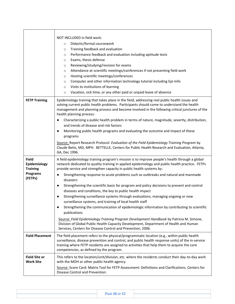|                                                                               | NOT INCLUDED in field work:<br>Didactic/formal coursework<br>$\circ$<br>Training feedback and evaluation<br>$\circ$<br>Performance feedback and evaluation including aptitude tests<br>$\circ$<br>Exams, thesis defense<br>$\circ$<br>Reviewing/studying/revision for exams<br>$\circ$<br>Attendance at scientific meetings/conferences if not presenting field work<br>$\circ$<br>Hosting scientific meetings/conferences<br>$\circ$<br>Computer and other information technology tutorial including Epi-Info<br>$\circ$<br>Visits to institutions of learning<br>$\circ$<br>Vacation, sick time, or any other paid or unpaid leave of absence<br>$\circ$                                                                                                                                                                                                                                                                                                                                                                                                                       |
|-------------------------------------------------------------------------------|----------------------------------------------------------------------------------------------------------------------------------------------------------------------------------------------------------------------------------------------------------------------------------------------------------------------------------------------------------------------------------------------------------------------------------------------------------------------------------------------------------------------------------------------------------------------------------------------------------------------------------------------------------------------------------------------------------------------------------------------------------------------------------------------------------------------------------------------------------------------------------------------------------------------------------------------------------------------------------------------------------------------------------------------------------------------------------|
| <b>FETP Training</b>                                                          | Epidemiology training that takes place in the field, addressing real public health issues and<br>solving current public health problems. Participants should come to understand the health<br>management and planning process and become involved in the following critical junctures of the<br>health planning process:<br>Characterizing a public health problem in terms of nature, magnitude, severity, distribution,<br>and trends of disease and risk factors<br>Monitoring public health programs and evaluating the outcome and impact of these<br>$\bullet$<br>programs<br>Source: Report Research Protocol: Evaluation of the Field Epidemiology Training Program by<br>Claude Betts, MD, MPH. BETTELLE, Centers for Public Health Research and Evaluation, Atlanta,<br>GA, Dec 1996.                                                                                                                                                                                                                                                                                  |
| <b>Field</b><br>Epidemiology<br><b>Training</b><br><b>Programs</b><br>(FETPs) | A field epidemiology training program's mission is to improve people's health through a global<br>network dedicated to quality training in applied epidemiology and public health practice. FETPs<br>provide service and strengthen capacity in public health systems by:<br>Strengthening response to acute problems such as outbreaks and natural and manmade<br>$\bullet$<br>disasters<br>Strengthening the scientific basis for program and policy decisions to prevent and control<br>diseases and conditions, the key to public health impact<br>Strengthening surveillance systems through evaluations, managing ongoing or new<br>surveillance systems, and training of local health staff<br>Strengthening the communication of epidemiologic information by contributing to scientific<br>$\bullet$<br>publications<br>Source: Field Epidemiology Training Program Development Handbook by Patricia M. Simone,<br>Division of Global Public Health Capacity Development, Department of Health and Human<br>Services, Centers for Disease Control and Prevention, 2006. |
| <b>Field Placement</b>                                                        | The field placement refers to the physical/programmatic location (e.g., within public health<br>surveillance, disease prevention and control, and public health response units) of the in-service<br>training where FETP residents are assigned to activities that help them to acquire the core<br>competencies, as defined by the program.                                                                                                                                                                                                                                                                                                                                                                                                                                                                                                                                                                                                                                                                                                                                     |
| <b>Field Site or</b><br><b>Work Site</b>                                      | This refers to the location/unit/division, etc. where the residents conduct their day-to-day work<br>with the MOH or other public health agency.<br>Source: Score Card: Matrix Tool for FETP Assessment: Definitions and Clarifications, Centers for<br>Disease Control and Prevention.                                                                                                                                                                                                                                                                                                                                                                                                                                                                                                                                                                                                                                                                                                                                                                                          |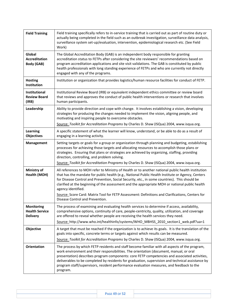| <b>Field Training</b>                                         | Field training specifically refers to in-service training that is carried out as part of routine duty or<br>actually being completed in the field such as an outbreak investigation, surveillance data analysis,<br>surveillance system set-up/evaluation, intervention, epidemiological research etc. (See Field<br>Work)                                                                                                                                                                                                                                              |
|---------------------------------------------------------------|-------------------------------------------------------------------------------------------------------------------------------------------------------------------------------------------------------------------------------------------------------------------------------------------------------------------------------------------------------------------------------------------------------------------------------------------------------------------------------------------------------------------------------------------------------------------------|
| Global<br><b>Accreditation</b><br><b>Body (GAB)</b>           | The Global Accreditation Body (GAB) is an independent body responsible for granting<br>accreditation status to FETPs after considering the site reviewers' recommendations based on<br>program accreditation applications and site visit validations. The GAB is constituted by public<br>health professionals with long standing experience of FETPs and who are currently not directly<br>engaged with any of the programs.                                                                                                                                           |
| <b>Hosting</b><br>Institution                                 | Institution or organization that provides logistics/human resource facilities for conduct of FETP.                                                                                                                                                                                                                                                                                                                                                                                                                                                                      |
| Institutional<br><b>Review Board</b><br>(IRB)                 | Institutional Review Board (IRB) or equivalent independent ethics committee or review board<br>that reviews and approves the conduct of public health interventions or research that involves<br>human participants.                                                                                                                                                                                                                                                                                                                                                    |
| Leadership                                                    | Ability to provide direction and cope with change. It involves establishing a vision, developing<br>strategies for producing the changes needed to implement the vision, aligning people, and<br>motivating and inspiring people to overcome obstacles.<br>Source: Toolkit for Accreditation Programs by Charles D. Shaw (ISQua) 2004, www.isqua.org.                                                                                                                                                                                                                   |
| Learning<br><b>Objectives</b>                                 | A specific statement of what the learner will know, understand, or be able to do as a result of<br>engaging in a learning activity.                                                                                                                                                                                                                                                                                                                                                                                                                                     |
| Management                                                    | Setting targets or goals for a group or organization through planning and budgeting, establishing<br>processes for achieving those targets and allocating resources to accomplish those plans or<br>strategies. Ensuring that plans or strategies are achieved by organizing, staffing, providing<br>direction, controlling, and problem solving.<br>Source: Toolkit for Accreditation Programs by Charles D. Shaw (ISQua) 2004, www.isqua.org.                                                                                                                         |
| Ministry of<br>Health (MOH)                                   | All references to MOH refer to Ministry of Health or to another national public health institution<br>that has the mandate for public health (e.g., National Public Health Institute or Agency, Centers<br>for Disease Control and Prevention, Social Security, etc., in some countries). This should be<br>clarified at the beginning of the assessment and the appropriate MOH or national public health<br>agency identified.<br>Source: Score Card: Matrix Tool for FETP Assessment: Definitions and Clarifications, Centers for<br>Disease Control and Prevention. |
| <b>Monitoring</b><br><b>Health Service</b><br><b>Delivery</b> | The process of examining and evaluating health services to determine if access, availability,<br>comprehensive options, continuity of care, people-centricity, quality, utilization, and coverage<br>are offered to reveal whether people are receiving the health services they need.<br>Source: http://www.who.int/healthinfo/systems/WHO_MBHSS_2010_section1_web.pdf?ua=1                                                                                                                                                                                            |
| Objective                                                     | A target that must be reached if the organization is to achieve its goals. It is the translation of the<br>goals into specific, concrete terms or targets against which results can be measured.<br>Source: Toolkit for Accreditation Programs by Charles D. Shaw (ISQua) 2004, www.isqua.org.                                                                                                                                                                                                                                                                          |
| <b>Orientation</b>                                            | The process by which FETP residents and staff become familiar with all aspects of the program,<br>work environment and their responsibilities. The orientation (document, manual, or oral<br>presentation) describes program components: core FETP competencies and associated activities,<br>deliverables to be completed by residents for graduation, supervision and technical assistance by<br>program staff/supervisors, resident performance evaluation measures, and feedback to the<br>program.                                                                 |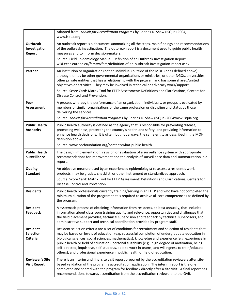|                                                        | Adapted from: Toolkit for Accreditation Programs by Charles D. Shaw (ISQua) 2004,                                                                                                                                                                                                                                                                                                                                                                                                                                                                                                                    |
|--------------------------------------------------------|------------------------------------------------------------------------------------------------------------------------------------------------------------------------------------------------------------------------------------------------------------------------------------------------------------------------------------------------------------------------------------------------------------------------------------------------------------------------------------------------------------------------------------------------------------------------------------------------------|
|                                                        | www.isqua.org.                                                                                                                                                                                                                                                                                                                                                                                                                                                                                                                                                                                       |
| <b>Outbreak</b><br>Investigation<br>Report             | An outbreak report is a document summarizing all the steps, main findings and recommendations<br>of the outbreak investigation. The outbreak report is a document used to guide public health<br>measures and to inform decision-makers.                                                                                                                                                                                                                                                                                                                                                             |
|                                                        | Source: Field Epidemiology Manual: Definition of an Outbreak Investigation Report.<br>wiki.ecdc.europa.eu/fem/w/fem/definition-of-an-outbreak-investigation-report.aspx.                                                                                                                                                                                                                                                                                                                                                                                                                             |
| Partner                                                | An institution or organization (not an individual) outside of the MOH (or as defined above)<br>although it may be other governmental organizations or ministries, or other NGOs, universities,<br>other private entities that has a relationship with the program and has some shared/united<br>objectives or activities. They may be involved in technical or advocacy work/support.<br>Source: Score Card: Matrix Tool for FETP Assessment: Definitions and Clarifications, Centers for                                                                                                            |
|                                                        | Disease Control and Prevention.                                                                                                                                                                                                                                                                                                                                                                                                                                                                                                                                                                      |
| Peer<br><b>Assessment</b>                              | A process whereby the performance of an organization, individuals, or groups is evaluated by<br>members of similar organizations of the same profession or discipline and status as those<br>delivering the services.                                                                                                                                                                                                                                                                                                                                                                                |
|                                                        | Source: Toolkit for Accreditation Programs by Charles D. Shaw (ISQua) 2004www.isqua.org.                                                                                                                                                                                                                                                                                                                                                                                                                                                                                                             |
| <b>Public Health</b><br><b>Authority</b>               | Public health authority is defined as the agency that is responsible for preventing disease,<br>promoting wellness, protecting the country's health and safety, and providing information to<br>enhance health decisions. It is often, but not always, the same entity as described in the MOH<br>definition above.                                                                                                                                                                                                                                                                                  |
|                                                        | Source: www.cdcfoundation.org/content/what-public-health.                                                                                                                                                                                                                                                                                                                                                                                                                                                                                                                                            |
| <b>Public Health</b><br><b>Surveillance</b>            | The design, implementation, revision or evaluation of a surveillance system with appropriate<br>recommendations for improvement and the analysis of surveillance data and summarization in a<br>report.                                                                                                                                                                                                                                                                                                                                                                                              |
| Quality<br><b>Standard</b>                             | An objective measure used by an experienced epidemiologist to assess a resident's work<br>products, may be grades, checklist, or other instrument or standardized approach.                                                                                                                                                                                                                                                                                                                                                                                                                          |
|                                                        | Source: Score Card: Matrix Tool for FETP Assessment: Definitions and Clarifications, Centers for<br>Disease Control and Prevention.                                                                                                                                                                                                                                                                                                                                                                                                                                                                  |
| <b>Residents</b>                                       | Public health professionals currently training/serving in an FETP and who have not completed the<br>minimum duration of the program that is required to achieve all core competencies as defined by<br>the program.                                                                                                                                                                                                                                                                                                                                                                                  |
| <b>Resident</b><br><b>Feedback</b>                     | A systematic process of obtaining information from residents, at least annually, that includes<br>information about classroom training quality and relevance, opportunities and challenges that<br>the field placement provides, technical supervision and feedback by technical supervisors, and<br>administrative support and technical coordination provided by program staff.                                                                                                                                                                                                                    |
| <b>Resident</b><br><b>Selection</b><br><b>Criteria</b> | Resident selection criteria are a set of conditions for recruitment and selection of residents that<br>may be based on levels of education (e.g. successful completion of undergraduate education in<br>biological sciences, social sciences, mathematics), knowledge and experience (e.g. experience in<br>public health or field of education), personal suitability (e.g., high degree of motivation, being<br>self-directed, inquisitive, self-studious, able to work in teams, and willingness to train/educate<br>others), and professional experience in public health or field of education. |
| <b>Reviewer's Site</b><br><b>Visit Report</b>          | There is an interim and final site visit report prepared by the accreditation reviewers after site-<br>based validation of the program's accreditation application. The interim report is the one<br>completed and shared with the program for feedback directly after a site visit. A final report has<br>recommendations towards accreditation from the accreditation reviewers to the GAB.                                                                                                                                                                                                        |